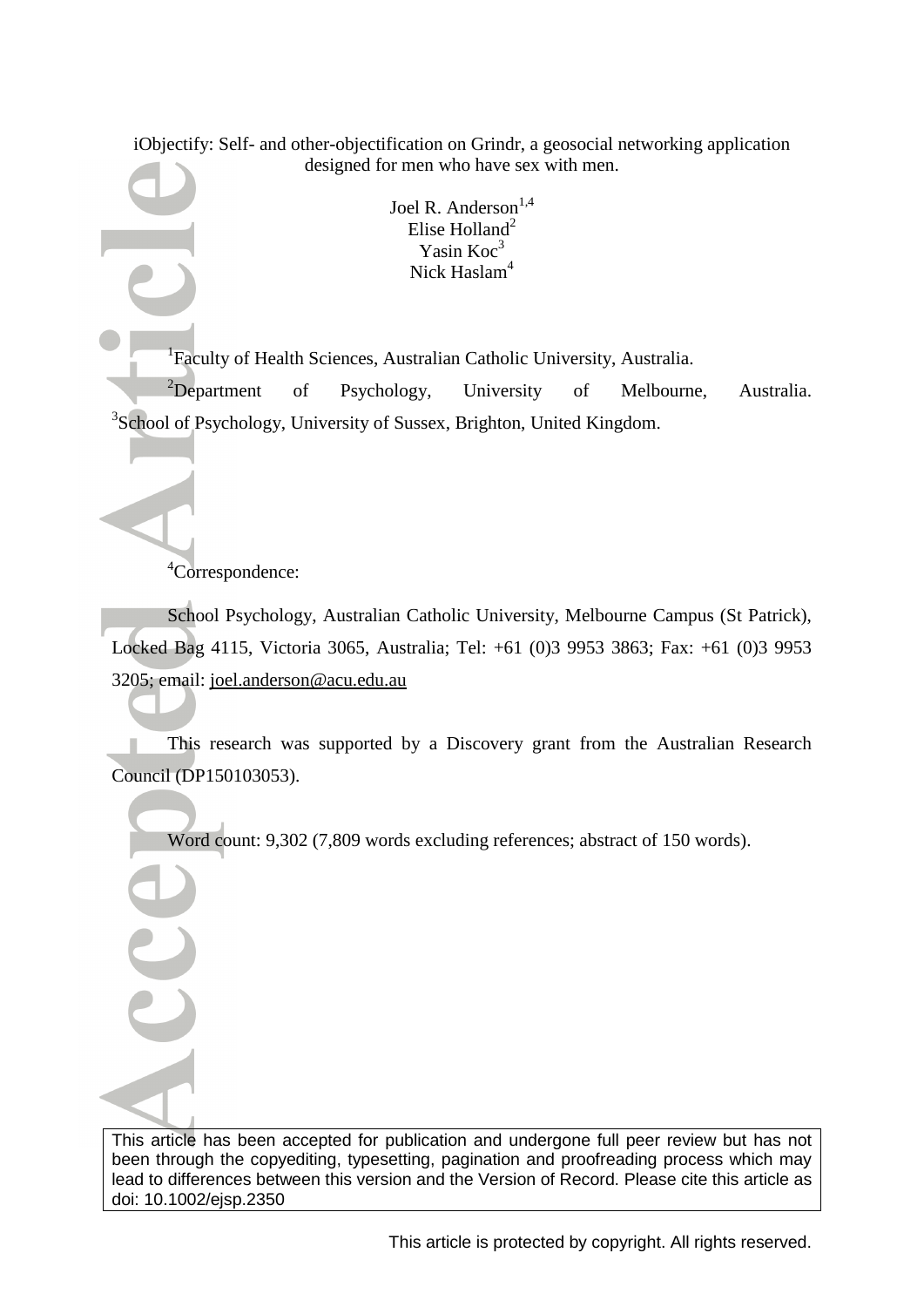iObjectify: Self- and other-objectification on Grindr, a geosocial networking application designed for men who have sex with men.

> Joel R. Anderson<sup>1,4</sup> Elise Holland<sup>2</sup> Yasin  $Koc<sup>3</sup>$ Nick Haslam<sup>4</sup>

<sup>1</sup>Faculty of Health Sciences, Australian Catholic University, Australia. <sup>2</sup>Department of Psychology, University of Melbourne, Australia. <sup>3</sup>School of Psychology, University of Sussex, Brighton, United Kingdom.

<sup>4</sup>Correspondence:

School Psychology, Australian Catholic University, Melbourne Campus (St Patrick), Locked Bag 4115, Victoria 3065, Australia; Tel: +61 (0)3 9953 3863; Fax: +61 (0)3 9953 3205; email: [joel.anderson@acu.edu.au](mailto:joel.anderson@acu.edu.au)

This research was supported by a Discovery grant from the Australian Research Council (DP150103053).

Word count: 9,302 (7,809 words excluding references; abstract of 150 words).

This article has been accepted for publication and undergone full peer review but has not been through the copyediting, typesetting, pagination and proofreading process which may lead to differences between this version and the Version of Record. Please cite this article as doi: 10.1002/ejsp.2350

This article is protected by copyright. All rights reserved.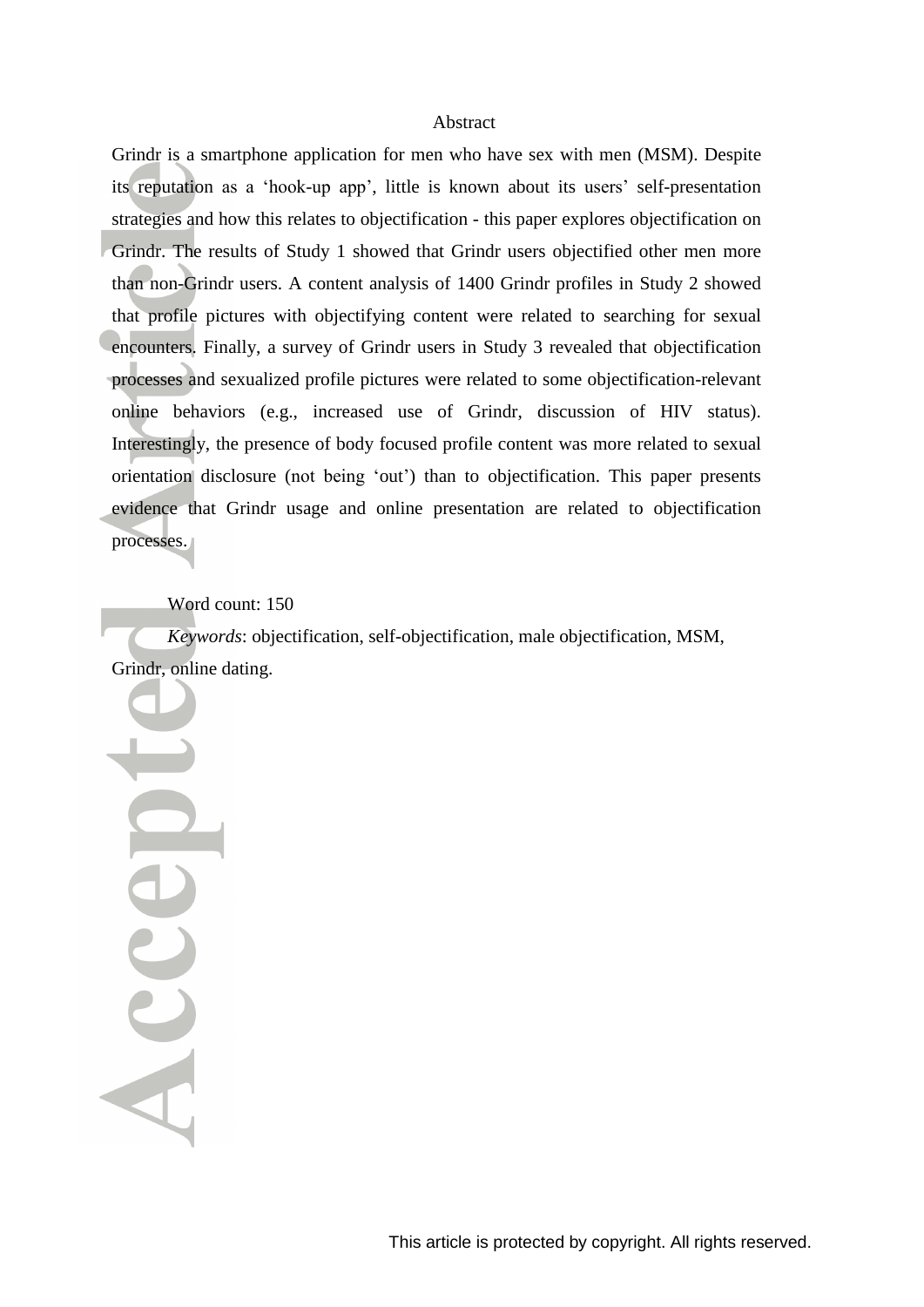### Abstract

Grindr is a smartphone application for men who have sex with men (MSM). Despite its reputation as a 'hook-up app', little is known about its users' self-presentation strategies and how this relates to objectification - this paper explores objectification on Grindr. The results of Study 1 showed that Grindr users objectified other men more than non-Grindr users. A content analysis of 1400 Grindr profiles in Study 2 showed that profile pictures with objectifying content were related to searching for sexual encounters. Finally, a survey of Grindr users in Study 3 revealed that objectification processes and sexualized profile pictures were related to some objectification-relevant online behaviors (e.g., increased use of Grindr, discussion of HIV status). Interestingly, the presence of body focused profile content was more related to sexual orientation disclosure (not being 'out') than to objectification. This paper presents evidence that Grindr usage and online presentation are related to objectification processes.

Word count: 150

*Keywords*: objectification, self-objectification, male objectification, MSM, Grindr, online dating.

Accep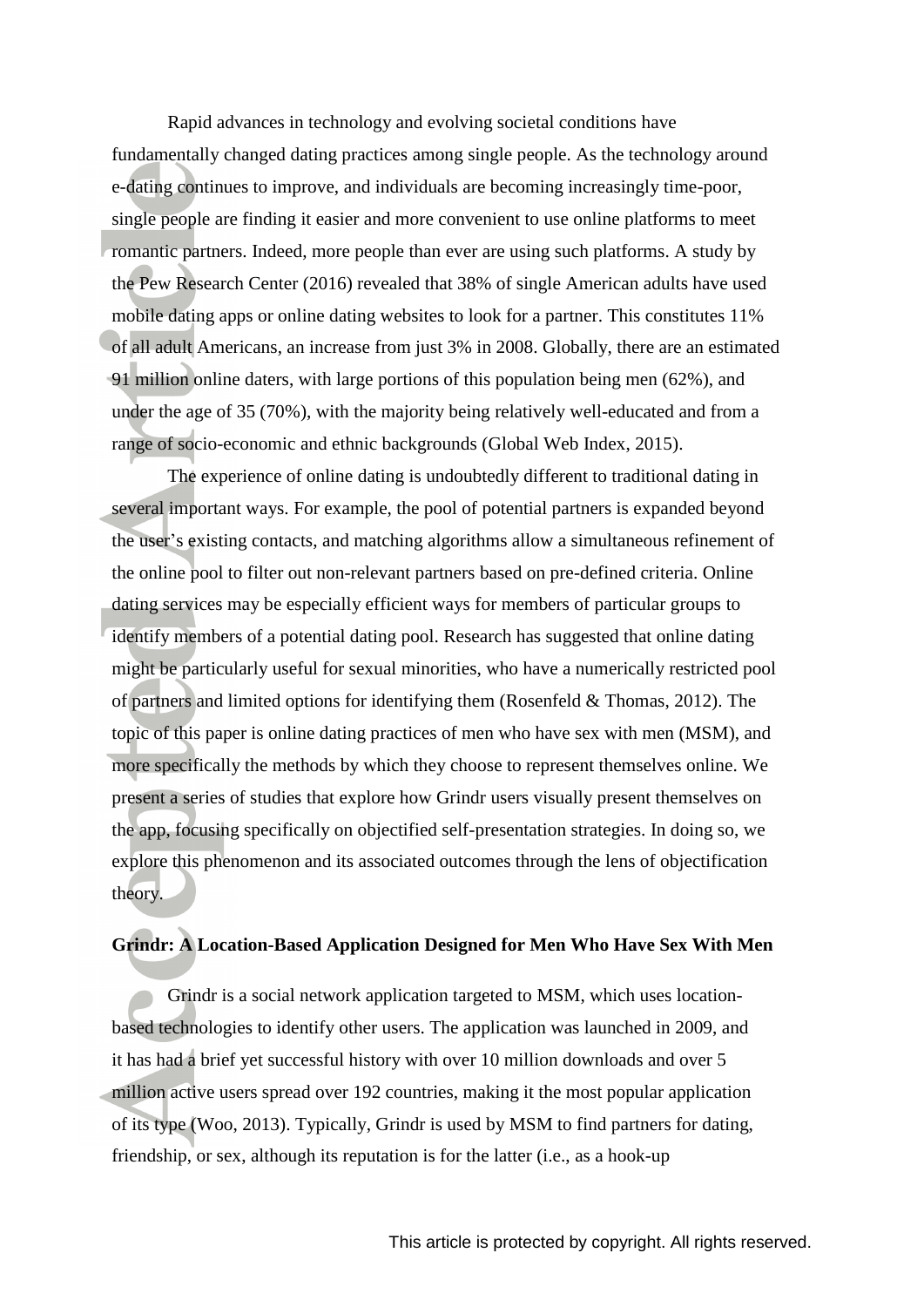Rapid advances in technology and evolving societal conditions have fundamentally changed dating practices among single people. As the technology around e-dating continues to improve, and individuals are becoming increasingly time-poor, single people are finding it easier and more convenient to use online platforms to meet romantic partners. Indeed, more people than ever are using such platforms. A study by the Pew Research Center (2016) revealed that 38% of single American adults have used mobile dating apps or online dating websites to look for a partner. This constitutes 11% of all adult Americans, an increase from just 3% in 2008. Globally, there are an estimated 91 million online daters, with large portions of this population being men (62%), and under the age of 35 (70%), with the majority being relatively well-educated and from a range of socio-economic and ethnic backgrounds (Global Web Index, 2015).

The experience of online dating is undoubtedly different to traditional dating in several important ways. For example, the pool of potential partners is expanded beyond the user's existing contacts, and matching algorithms allow a simultaneous refinement of the online pool to filter out non-relevant partners based on pre-defined criteria. Online dating services may be especially efficient ways for members of particular groups to identify members of a potential dating pool. Research has suggested that online dating might be particularly useful for sexual minorities, who have a numerically restricted pool of partners and limited options for identifying them (Rosenfeld & Thomas, 2012). The topic of this paper is online dating practices of men who have sex with men (MSM), and more specifically the methods by which they choose to represent themselves online. We present a series of studies that explore how Grindr users visually present themselves on the app, focusing specifically on objectified self-presentation strategies. In doing so, we explore this phenomenon and its associated outcomes through the lens of objectification theory.

### **Grindr: A Location-Based Application Designed for Men Who Have Sex With Men**

Grindr is a social network application targeted to MSM, which uses locationbased technologies to identify other users. The application was launched in 2009, and it has had a brief yet successful history with over 10 million downloads and over 5 million active users spread over 192 countries, making it the most popular application of its type (Woo, 2013). Typically, Grindr is used by MSM to find partners for dating, friendship, or sex, although its reputation is for the latter (i.e., as a hook-up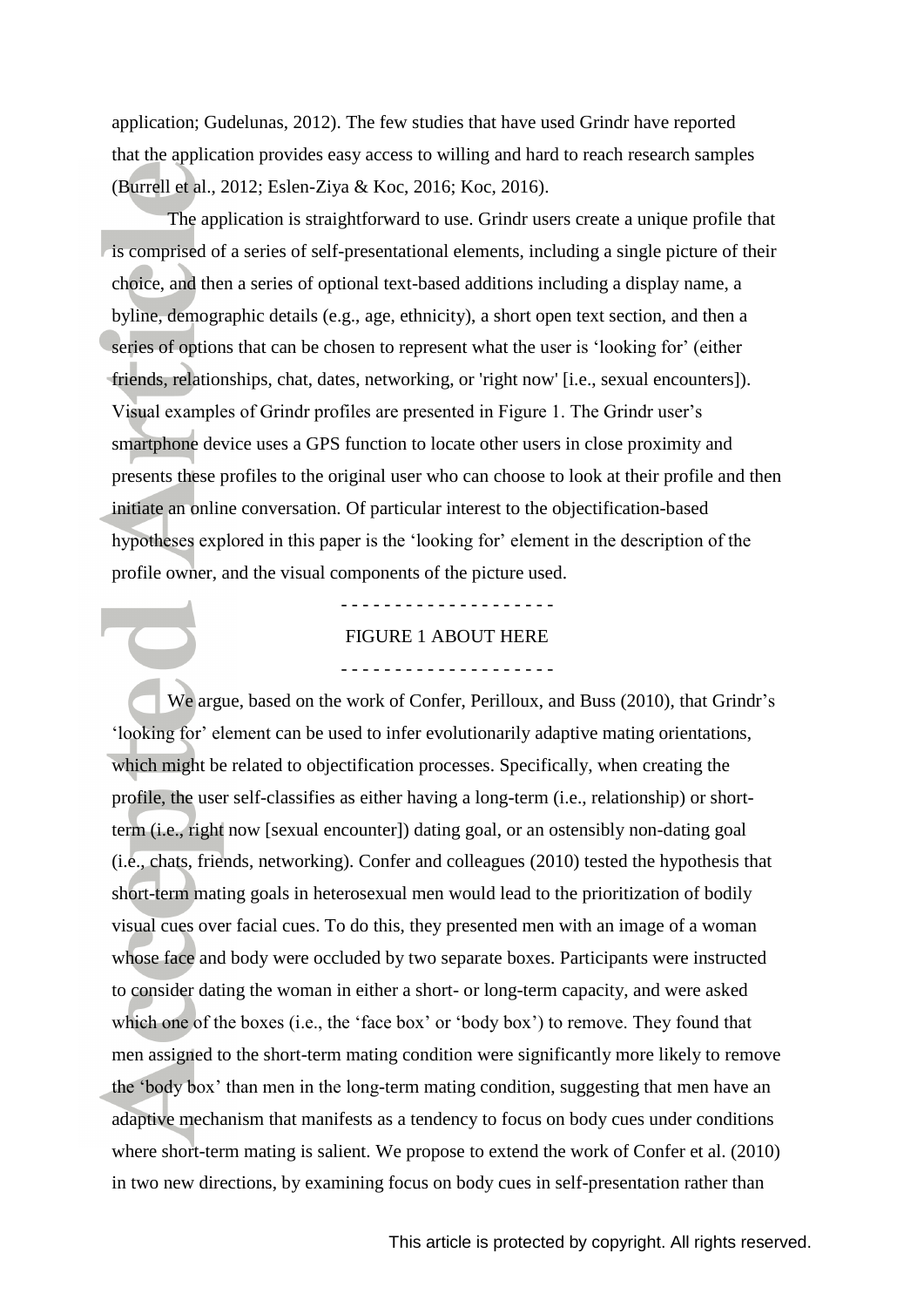application; Gudelunas, 2012). The few studies that have used Grindr have reported that the application provides easy access to willing and hard to reach research samples (Burrell et al., 2012; Eslen-Ziya & Koc, 2016; Koc, 2016).

The application is straightforward to use. Grindr users create a unique profile that is comprised of a series of self-presentational elements, including a single picture of their choice, and then a series of optional text-based additions including a display name, a byline, demographic details (e.g., age, ethnicity), a short open text section, and then a series of options that can be chosen to represent what the user is 'looking for' (either friends, relationships, chat, dates, networking, or 'right now' [i.e., sexual encounters]). Visual examples of Grindr profiles are presented in Figure 1. The Grindr user's smartphone device uses a GPS function to locate other users in close proximity and presents these profiles to the original user who can choose to look at their profile and then initiate an online conversation. Of particular interest to the objectification-based hypotheses explored in this paper is the 'looking for' element in the description of the profile owner, and the visual components of the picture used.

# - - - - - - - - - - - - - - - - - - - -

## FIGURE 1 ABOUT HERE

We argue, based on the work of Confer, Perilloux, and Buss (2010), that Grindr's 'looking for' element can be used to infer evolutionarily adaptive mating orientations, which might be related to objectification processes. Specifically, when creating the profile, the user self-classifies as either having a long-term (i.e., relationship) or shortterm (i.e., right now [sexual encounter]) dating goal, or an ostensibly non-dating goal (i.e., chats, friends, networking). Confer and colleagues (2010) tested the hypothesis that short-term mating goals in heterosexual men would lead to the prioritization of bodily visual cues over facial cues. To do this, they presented men with an image of a woman whose face and body were occluded by two separate boxes. Participants were instructed to consider dating the woman in either a short- or long-term capacity, and were asked which one of the boxes (i.e., the 'face box' or 'body box') to remove. They found that men assigned to the short-term mating condition were significantly more likely to remove the 'body box' than men in the long-term mating condition, suggesting that men have an adaptive mechanism that manifests as a tendency to focus on body cues under conditions where short-term mating is salient. We propose to extend the work of Confer et al. (2010) in two new directions, by examining focus on body cues in self-presentation rather than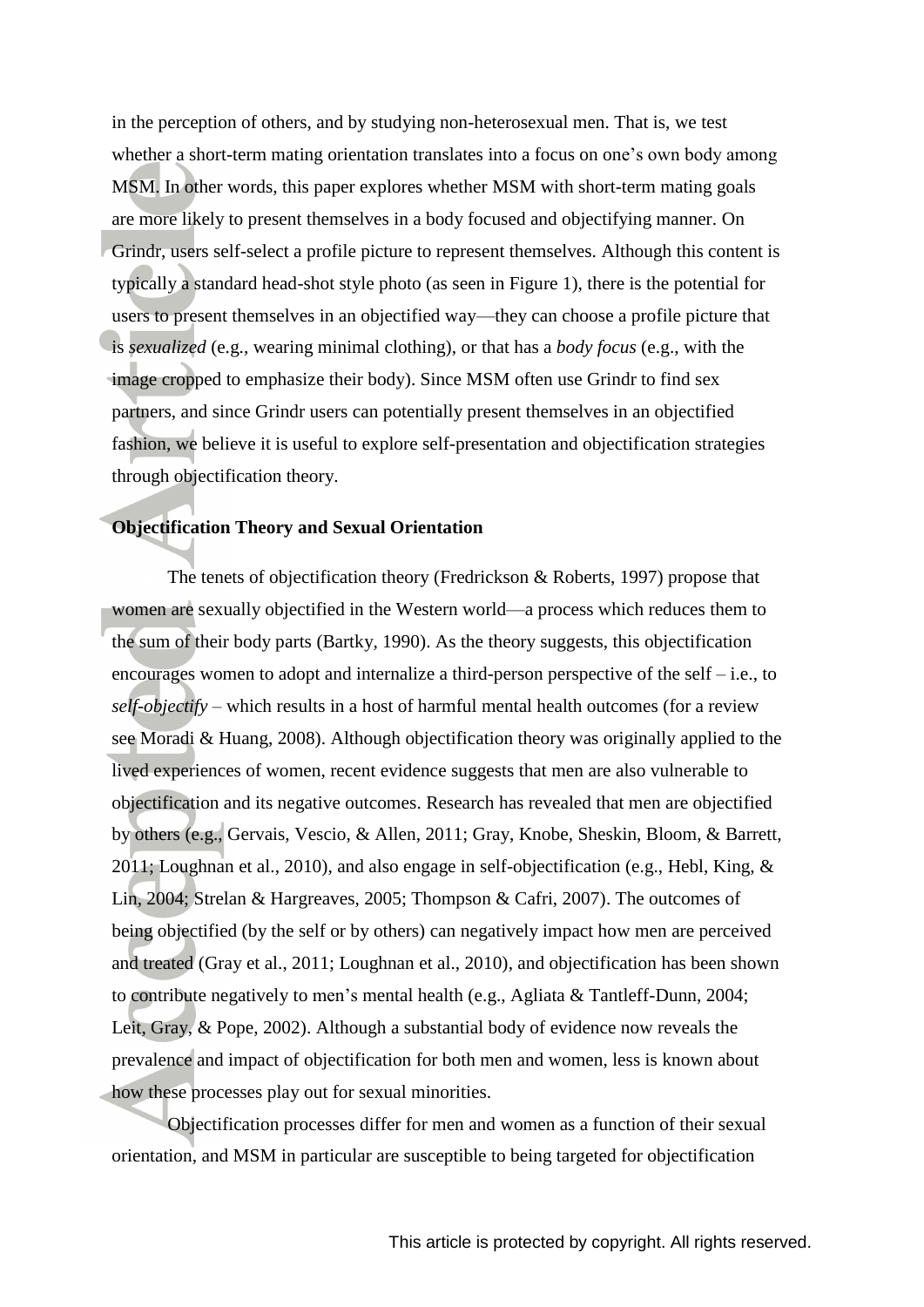in the perception of others, and by studying non-heterosexual men. That is, we test whether a short-term mating orientation translates into a focus on one's own body among MSM. In other words, this paper explores whether MSM with short-term mating goals are more likely to present themselves in a body focused and objectifying manner. On Grindr, users self-select a profile picture to represent themselves. Although this content is typically a standard head-shot style photo (as seen in Figure 1), there is the potential for users to present themselves in an objectified way—they can choose a profile picture that is *sexualized* (e.g., wearing minimal clothing), or that has a *body focus* (e.g., with the image cropped to emphasize their body). Since MSM often use Grindr to find sex partners, and since Grindr users can potentially present themselves in an objectified fashion, we believe it is useful to explore self-presentation and objectification strategies through objectification theory.

### **Objectification Theory and Sexual Orientation**

The tenets of objectification theory (Fredrickson & Roberts, 1997) propose that women are sexually objectified in the Western world—a process which reduces them to the sum of their body parts (Bartky, 1990). As the theory suggests, this objectification encourages women to adopt and internalize a third-person perspective of the self  $-$  i.e., to *self-objectify –* which results in a host of harmful mental health outcomes (for a review see Moradi & Huang, 2008). Although objectification theory was originally applied to the lived experiences of women, recent evidence suggests that men are also vulnerable to objectification and its negative outcomes. Research has revealed that men are objectified by others (e.g., Gervais, Vescio, & Allen, 2011; Gray, Knobe, Sheskin, Bloom, & Barrett, 2011; Loughnan et al., 2010), and also engage in self-objectification (e.g., Hebl, King, & Lin, 2004; Strelan & Hargreaves, 2005; Thompson & Cafri, 2007). The outcomes of being objectified (by the self or by others) can negatively impact how men are perceived and treated (Gray et al., 2011; Loughnan et al., 2010), and objectification has been shown to contribute negatively to men's mental health (e.g., Agliata & Tantleff-Dunn, 2004; Leit, Gray, & Pope, 2002). Although a substantial body of evidence now reveals the prevalence and impact of objectification for both men and women, less is known about how these processes play out for sexual minorities.

Objectification processes differ for men and women as a function of their sexual orientation, and MSM in particular are susceptible to being targeted for objectification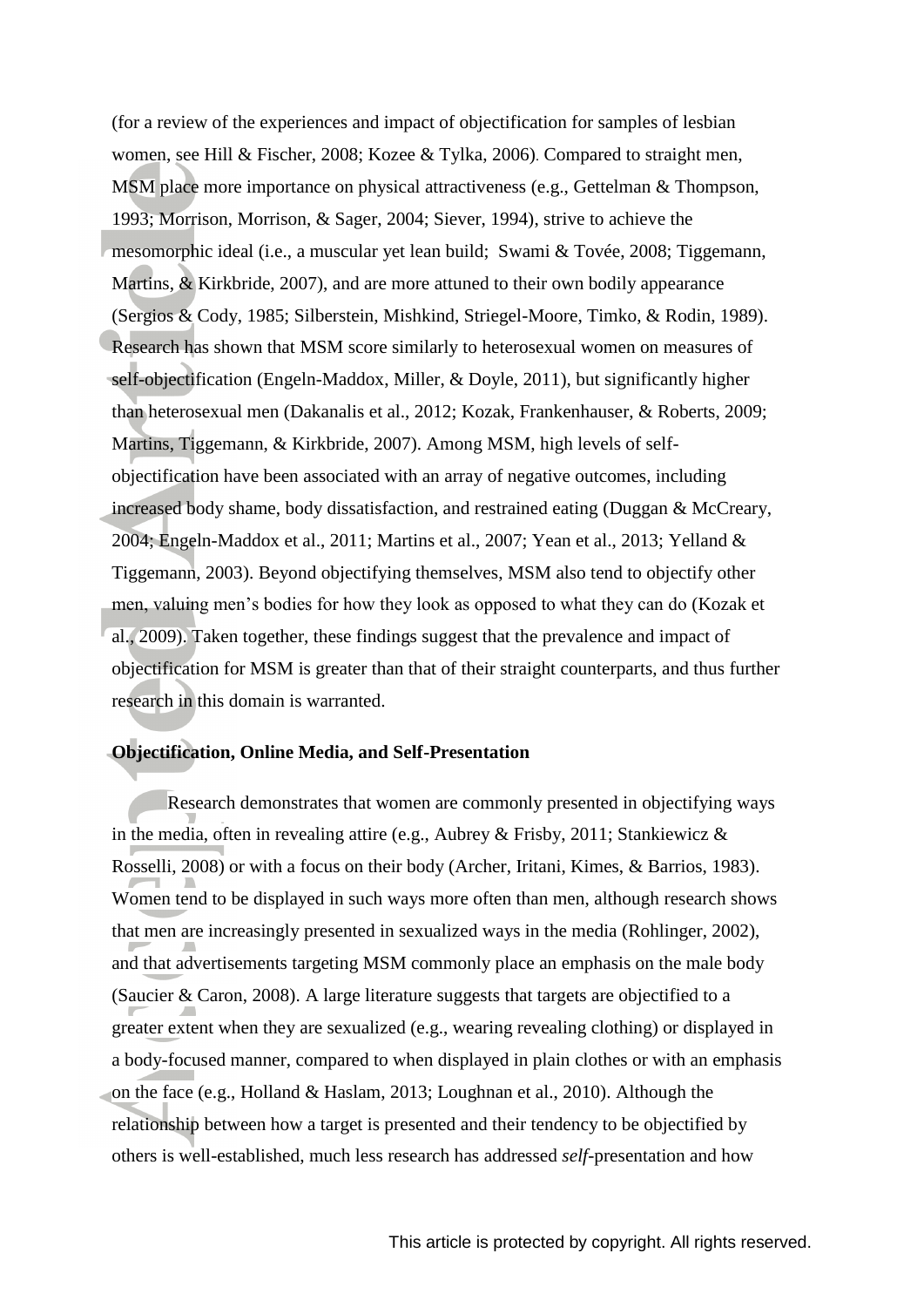(for a review of the experiences and impact of objectification for samples of lesbian women, see Hill & Fischer, 2008; Kozee & Tylka, 2006). Compared to straight men, MSM place more importance on physical attractiveness (e.g., Gettelman & Thompson, 1993; Morrison, Morrison, & Sager, 2004; Siever, 1994), strive to achieve the mesomorphic ideal (i.e., a muscular yet lean build; Swami & Tovée, 2008; Tiggemann, Martins, & Kirkbride, 2007), and are more attuned to their own bodily appearance (Sergios & Cody, 1985; Silberstein, Mishkind, Striegel-Moore, Timko, & Rodin, 1989). Research has shown that MSM score similarly to heterosexual women on measures of self-objectification (Engeln-Maddox, Miller, & Doyle, 2011), but significantly higher than heterosexual men (Dakanalis et al., 2012; Kozak, Frankenhauser, & Roberts, 2009; Martins, Tiggemann, & Kirkbride, 2007). Among MSM, high levels of selfobjectification have been associated with an array of negative outcomes, including increased body shame, body dissatisfaction, and restrained eating (Duggan & McCreary, 2004; Engeln-Maddox et al., 2011; Martins et al., 2007; Yean et al., 2013; Yelland & Tiggemann, 2003). Beyond objectifying themselves, MSM also tend to objectify other men, valuing men's bodies for how they look as opposed to what they can do (Kozak et al., 2009). Taken together, these findings suggest that the prevalence and impact of objectification for MSM is greater than that of their straight counterparts, and thus further research in this domain is warranted.

### **Objectification, Online Media, and Self-Presentation**

Research demonstrates that women are commonly presented in objectifying ways in the media, often in revealing attire (e.g., Aubrey & Frisby, 2011; Stankiewicz & Rosselli, 2008) or with a focus on their body (Archer, Iritani, Kimes, & Barrios, 1983). Women tend to be displayed in such ways more often than men, although research shows that men are increasingly presented in sexualized ways in the media (Rohlinger, 2002), and that advertisements targeting MSM commonly place an emphasis on the male body (Saucier & Caron, 2008). A large literature suggests that targets are objectified to a greater extent when they are sexualized (e.g., wearing revealing clothing) or displayed in a body-focused manner, compared to when displayed in plain clothes or with an emphasis on the face (e.g., Holland & Haslam, 2013; Loughnan et al., 2010). Although the relationship between how a target is presented and their tendency to be objectified by others is well-established, much less research has addressed *self*-presentation and how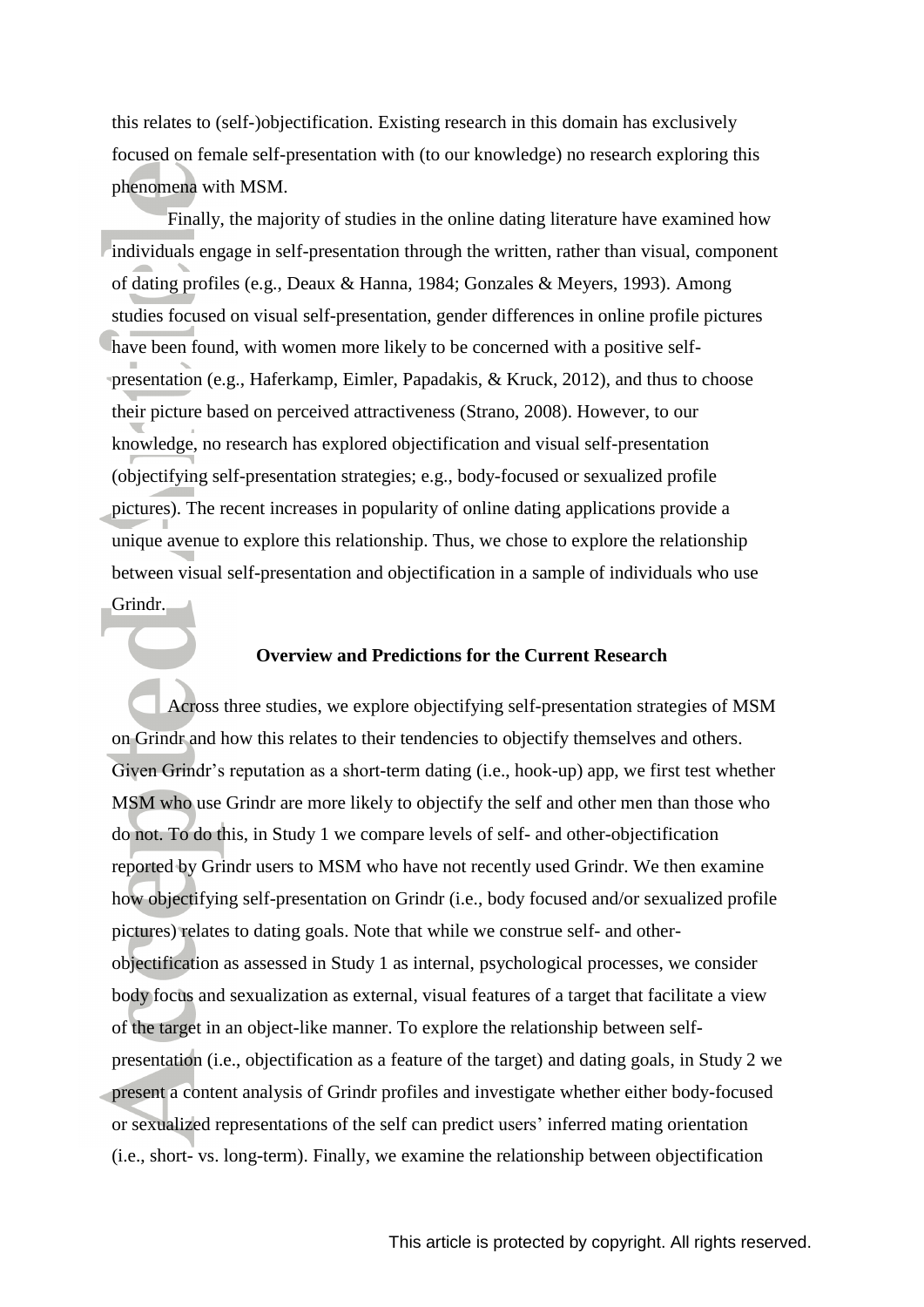this relates to (self-)objectification. Existing research in this domain has exclusively focused on female self-presentation with (to our knowledge) no research exploring this phenomena with MSM.

Finally, the majority of studies in the online dating literature have examined how individuals engage in self-presentation through the written, rather than visual, component of dating profiles (e.g., Deaux & Hanna, 1984; Gonzales & Meyers, 1993). Among studies focused on visual self-presentation, gender differences in online profile pictures have been found, with women more likely to be concerned with a positive selfpresentation (e.g., Haferkamp, Eimler, Papadakis, & Kruck, 2012), and thus to choose their picture based on perceived attractiveness (Strano, 2008). However, to our knowledge, no research has explored objectification and visual self-presentation (objectifying self-presentation strategies; e.g., body-focused or sexualized profile pictures). The recent increases in popularity of online dating applications provide a unique avenue to explore this relationship. Thus, we chose to explore the relationship between visual self-presentation and objectification in a sample of individuals who use Grindr.

### **Overview and Predictions for the Current Research**

Across three studies, we explore objectifying self-presentation strategies of MSM on Grindr and how this relates to their tendencies to objectify themselves and others. Given Grindr's reputation as a short-term dating (i.e., hook-up) app, we first test whether MSM who use Grindr are more likely to objectify the self and other men than those who do not. To do this, in Study 1 we compare levels of self- and other-objectification reported by Grindr users to MSM who have not recently used Grindr. We then examine how objectifying self-presentation on Grindr (i.e., body focused and/or sexualized profile pictures) relates to dating goals. Note that while we construe self- and otherobjectification as assessed in Study 1 as internal, psychological processes, we consider body focus and sexualization as external, visual features of a target that facilitate a view of the target in an object-like manner. To explore the relationship between selfpresentation (i.e., objectification as a feature of the target) and dating goals, in Study 2 we present a content analysis of Grindr profiles and investigate whether either body-focused or sexualized representations of the self can predict users' inferred mating orientation (i.e., short- vs. long-term). Finally, we examine the relationship between objectification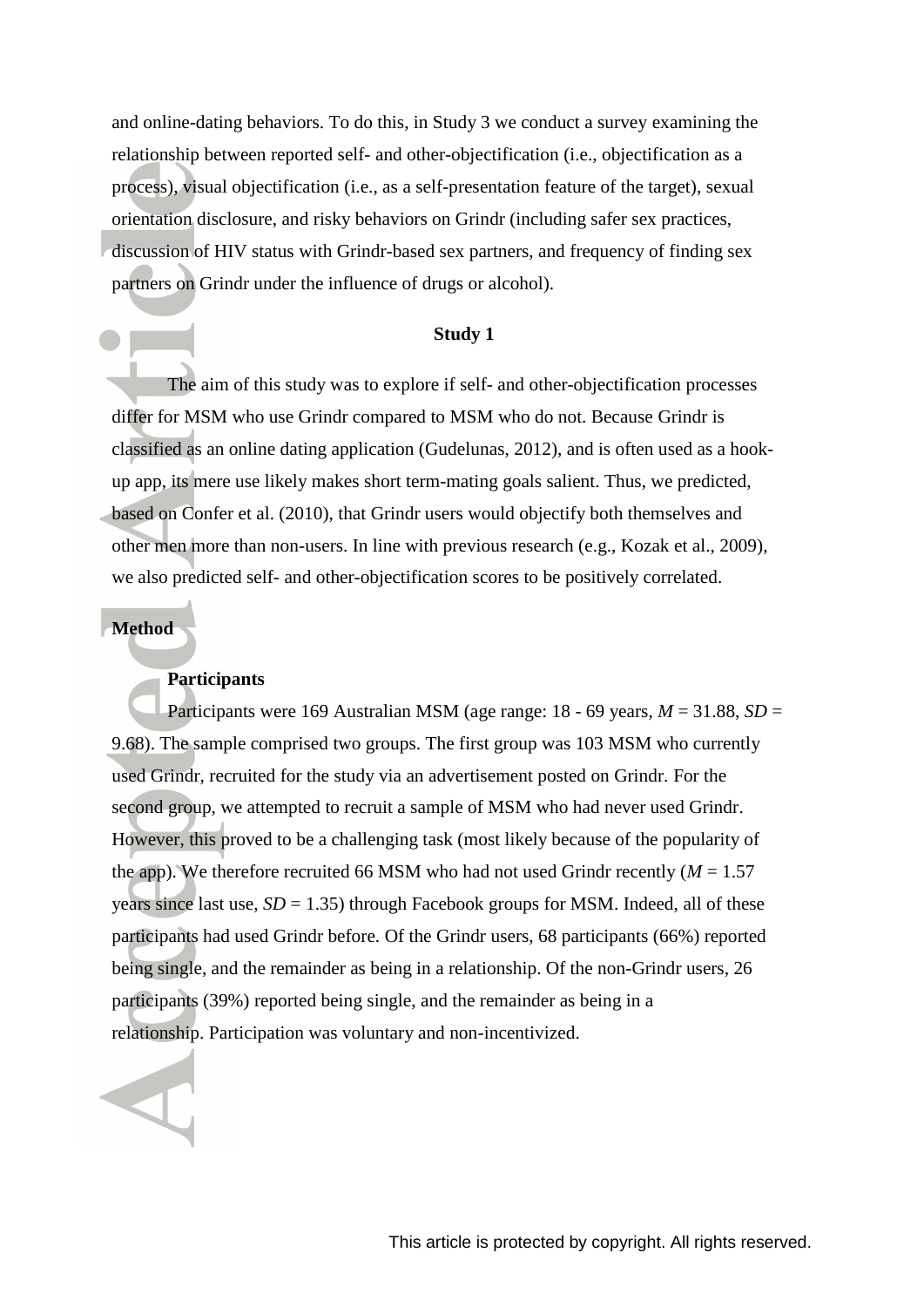and online-dating behaviors. To do this, in Study 3 we conduct a survey examining the relationship between reported self- and other-objectification (i.e., objectification as a process), visual objectification (i.e., as a self-presentation feature of the target), sexual orientation disclosure, and risky behaviors on Grindr (including safer sex practices, discussion of HIV status with Grindr-based sex partners, and frequency of finding sex partners on Grindr under the influence of drugs or alcohol).

### **Study 1**

The aim of this study was to explore if self- and other-objectification processes differ for MSM who use Grindr compared to MSM who do not. Because Grindr is classified as an online dating application (Gudelunas, 2012), and is often used as a hookup app, its mere use likely makes short term-mating goals salient. Thus, we predicted, based on Confer et al. (2010), that Grindr users would objectify both themselves and other men more than non-users. In line with previous research (e.g., Kozak et al., 2009), we also predicted self- and other-objectification scores to be positively correlated.

### **Method**

### **Participants**

Participants were 169 Australian MSM (age range:  $18 - 69$  years,  $M = 31.88$ ,  $SD =$ 9.68). The sample comprised two groups. The first group was 103 MSM who currently used Grindr, recruited for the study via an advertisement posted on Grindr. For the second group, we attempted to recruit a sample of MSM who had never used Grindr. However, this proved to be a challenging task (most likely because of the popularity of the app). We therefore recruited 66 MSM who had not used Grindr recently ( $M = 1.57$ years since last use,  $SD = 1.35$ ) through Facebook groups for MSM. Indeed, all of these participants had used Grindr before. Of the Grindr users, 68 participants (66%) reported being single, and the remainder as being in a relationship. Of the non-Grindr users, 26 participants (39%) reported being single, and the remainder as being in a relationship. Participation was voluntary and non-incentivized.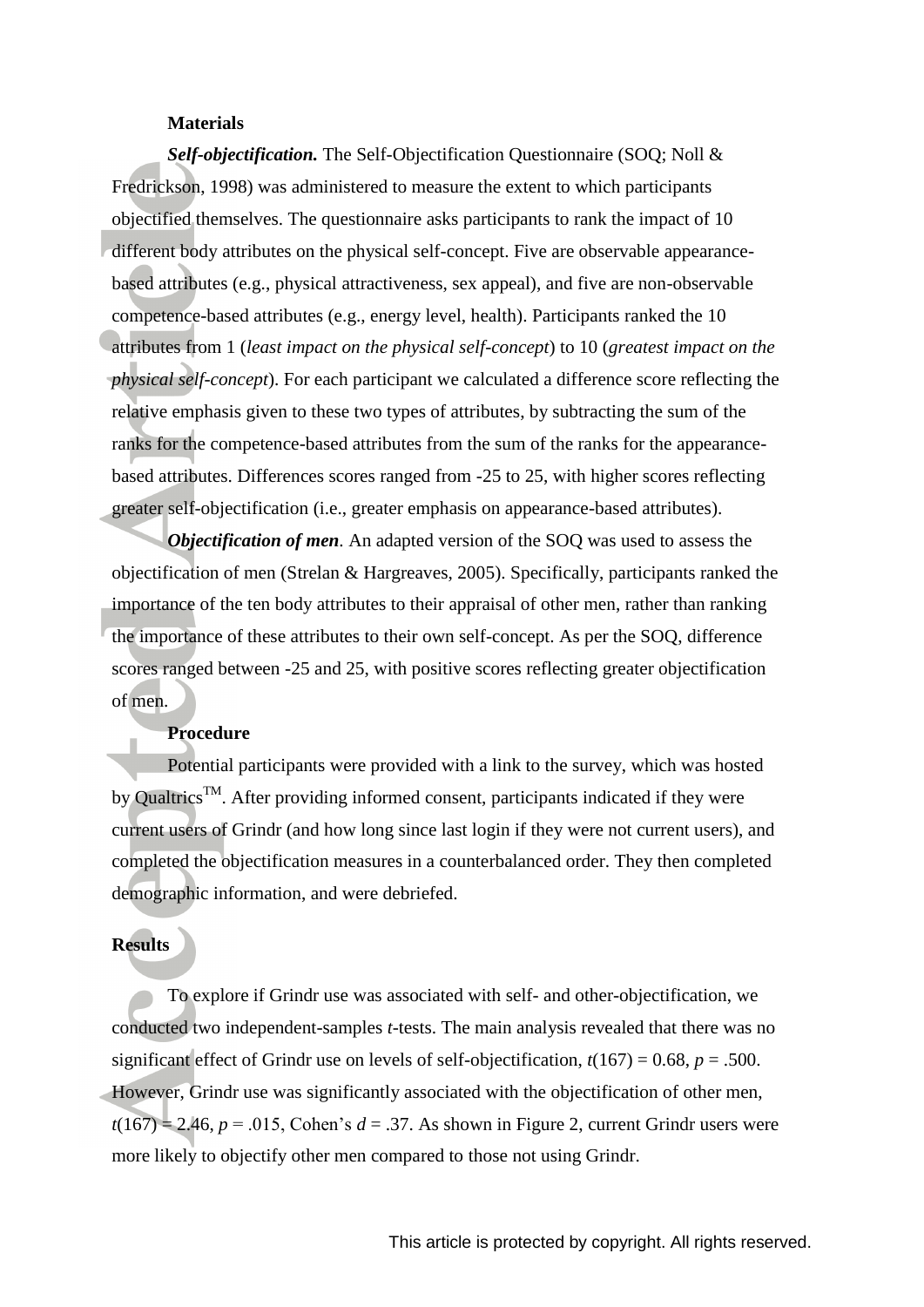### **Materials**

*Self-objectification.* The Self-Objectification Questionnaire (SOQ; Noll & Fredrickson, 1998) was administered to measure the extent to which participants objectified themselves. The questionnaire asks participants to rank the impact of 10 different body attributes on the physical self-concept. Five are observable appearancebased attributes (e.g., physical attractiveness, sex appeal), and five are non-observable competence-based attributes (e.g., energy level, health). Participants ranked the 10 attributes from 1 (*least impact on the physical self-concept*) to 10 (*greatest impact on the physical self-concept*). For each participant we calculated a difference score reflecting the relative emphasis given to these two types of attributes, by subtracting the sum of the ranks for the competence-based attributes from the sum of the ranks for the appearancebased attributes. Differences scores ranged from -25 to 25, with higher scores reflecting greater self-objectification (i.e., greater emphasis on appearance-based attributes).

*Objectification of men.* An adapted version of the SOQ was used to assess the objectification of men (Strelan & Hargreaves, 2005). Specifically, participants ranked the importance of the ten body attributes to their appraisal of other men, rather than ranking the importance of these attributes to their own self-concept. As per the SOQ, difference scores ranged between -25 and 25, with positive scores reflecting greater objectification of men.

### **Procedure**

Potential participants were provided with a link to the survey, which was hosted by Qualtrics<sup>TM</sup>. After providing informed consent, participants indicated if they were current users of Grindr (and how long since last login if they were not current users), and completed the objectification measures in a counterbalanced order. They then completed demographic information, and were debriefed.

### **Results**

To explore if Grindr use was associated with self- and other-objectification, we conducted two independent-samples *t*-tests. The main analysis revealed that there was no significant effect of Grindr use on levels of self-objectification,  $t(167) = 0.68$ ,  $p = .500$ . However, Grindr use was significantly associated with the objectification of other men,  $t(167) = 2.46$ ,  $p = .015$ , Cohen's  $d = .37$ . As shown in Figure 2, current Grindr users were more likely to objectify other men compared to those not using Grindr.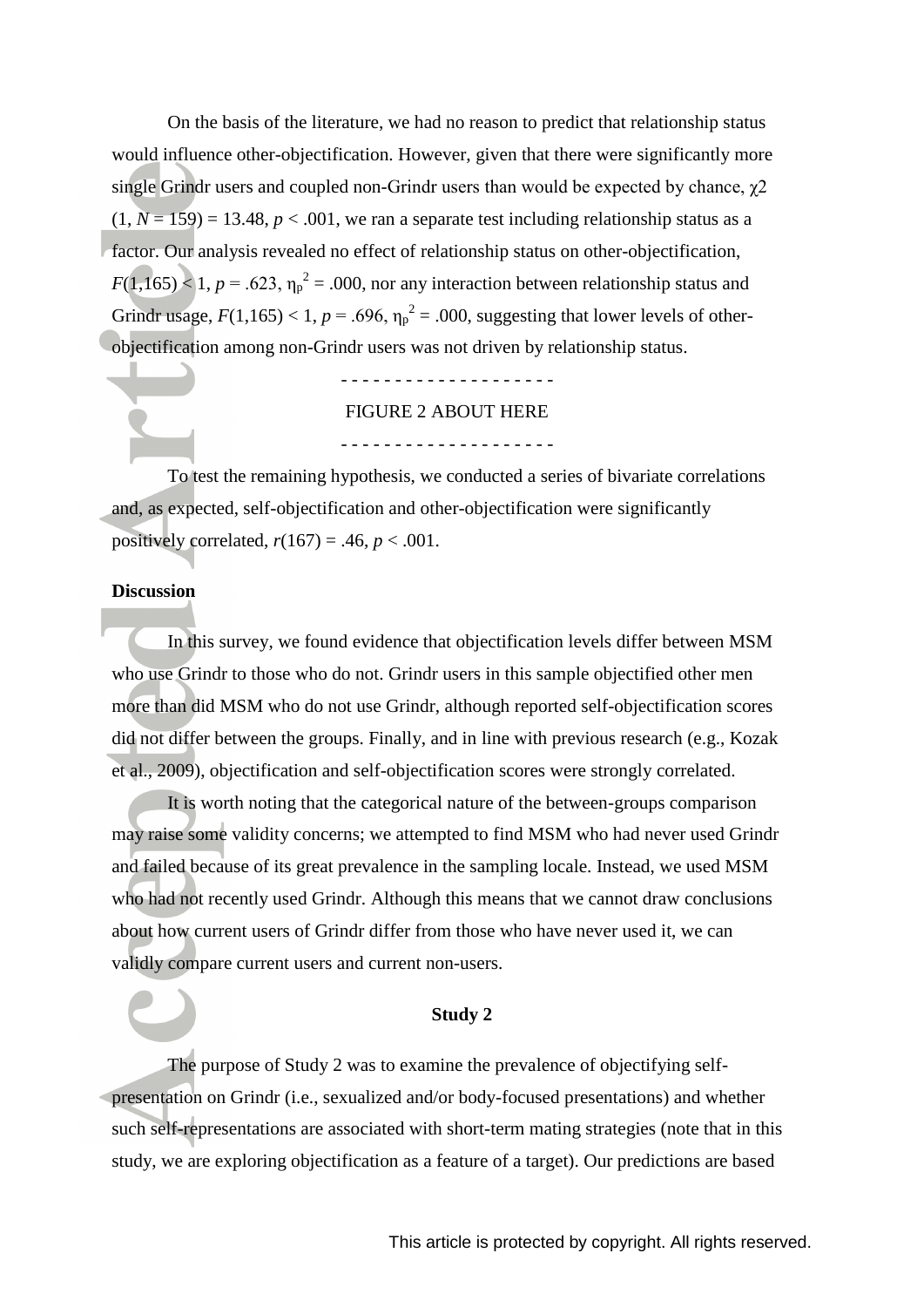On the basis of the literature, we had no reason to predict that relationship status would influence other-objectification. However, given that there were significantly more single Grindr users and coupled non-Grindr users than would be expected by chance,  $\chi$ 2  $(1, N = 159) = 13.48$ ,  $p < .001$ , we ran a separate test including relationship status as a factor. Our analysis revealed no effect of relationship status on other-objectification,  $F(1,165)$  < 1,  $p = .623$ ,  $\eta_p^2 = .000$ , nor any interaction between relationship status and Grindr usage,  $F(1,165) < 1$ ,  $p = .696$ ,  $\eta_p^2 = .000$ , suggesting that lower levels of otherobjectification among non-Grindr users was not driven by relationship status.

### - - - - - - - - - - - - - - - - - - - - FIGURE 2 ABOUT HERE

To test the remaining hypothesis, we conducted a series of bivariate correlations and, as expected, self-objectification and other-objectification were significantly positively correlated,  $r(167) = .46$ ,  $p < .001$ .

### **Discussion**

In this survey, we found evidence that objectification levels differ between MSM who use Grindr to those who do not. Grindr users in this sample objectified other men more than did MSM who do not use Grindr, although reported self-objectification scores did not differ between the groups. Finally, and in line with previous research (e.g., Kozak et al., 2009), objectification and self-objectification scores were strongly correlated.

It is worth noting that the categorical nature of the between-groups comparison may raise some validity concerns; we attempted to find MSM who had never used Grindr and failed because of its great prevalence in the sampling locale. Instead, we used MSM who had not recently used Grindr. Although this means that we cannot draw conclusions about how current users of Grindr differ from those who have never used it, we can validly compare current users and current non-users.

### **Study 2**

The purpose of Study 2 was to examine the prevalence of objectifying selfpresentation on Grindr (i.e., sexualized and/or body-focused presentations) and whether such self-representations are associated with short-term mating strategies (note that in this study, we are exploring objectification as a feature of a target). Our predictions are based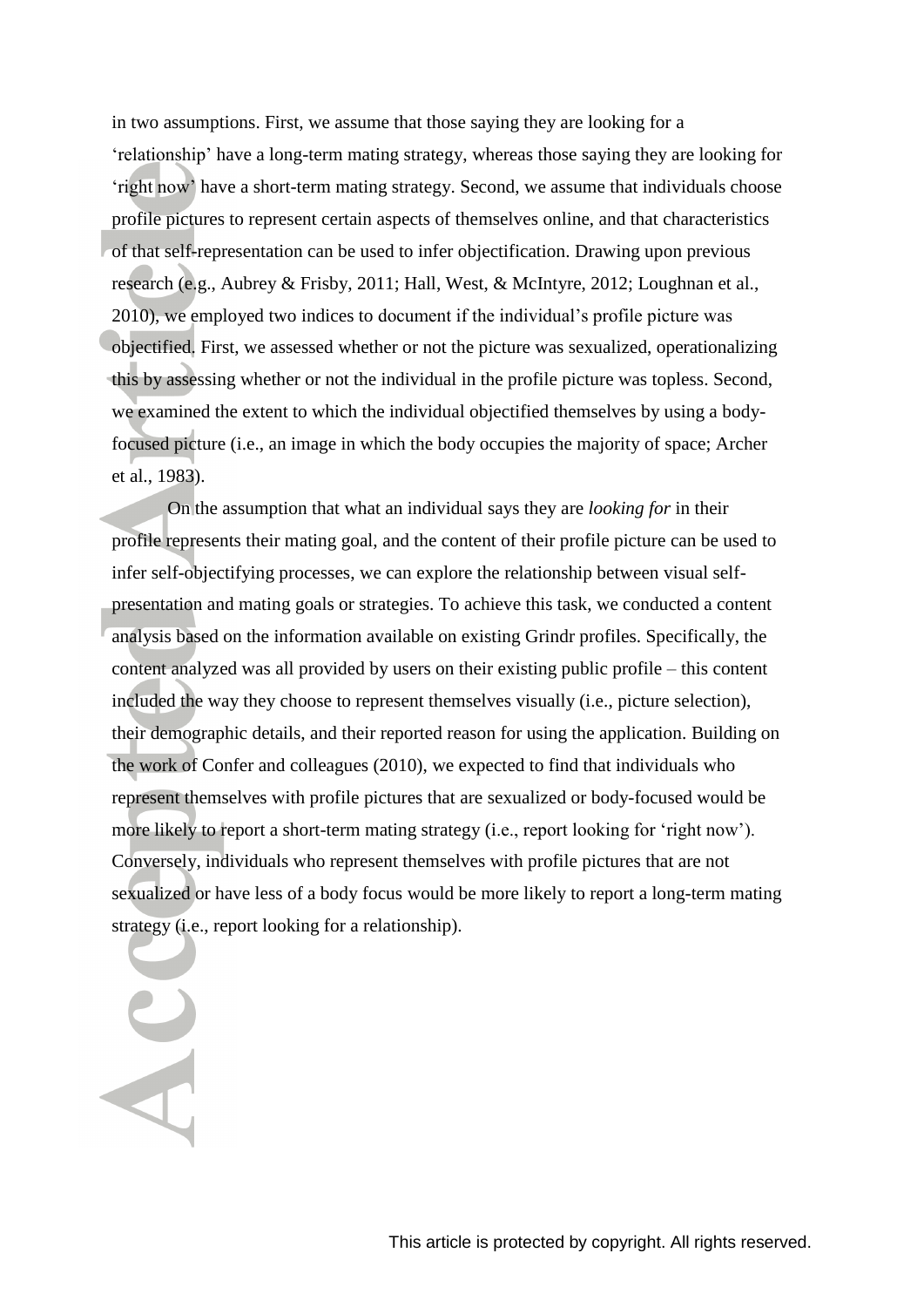in two assumptions. First, we assume that those saying they are looking for a 'relationship' have a long-term mating strategy, whereas those saying they are looking for 'right now' have a short-term mating strategy. Second, we assume that individuals choose profile pictures to represent certain aspects of themselves online, and that characteristics of that self-representation can be used to infer objectification. Drawing upon previous research (e.g., Aubrey & Frisby, 2011; Hall, West, & McIntyre, 2012; Loughnan et al., 2010), we employed two indices to document if the individual's profile picture was objectified. First, we assessed whether or not the picture was sexualized, operationalizing this by assessing whether or not the individual in the profile picture was topless. Second, we examined the extent to which the individual objectified themselves by using a bodyfocused picture (i.e., an image in which the body occupies the majority of space; Archer et al., 1983).

On the assumption that what an individual says they are *looking for* in their profile represents their mating goal, and the content of their profile picture can be used to infer self-objectifying processes, we can explore the relationship between visual selfpresentation and mating goals or strategies. To achieve this task, we conducted a content analysis based on the information available on existing Grindr profiles. Specifically, the content analyzed was all provided by users on their existing public profile – this content included the way they choose to represent themselves visually (i.e., picture selection), their demographic details, and their reported reason for using the application. Building on the work of Confer and colleagues (2010), we expected to find that individuals who represent themselves with profile pictures that are sexualized or body-focused would be more likely to report a short-term mating strategy (i.e., report looking for 'right now'). Conversely, individuals who represent themselves with profile pictures that are not sexualized or have less of a body focus would be more likely to report a long-term mating strategy (i.e., report looking for a relationship).

#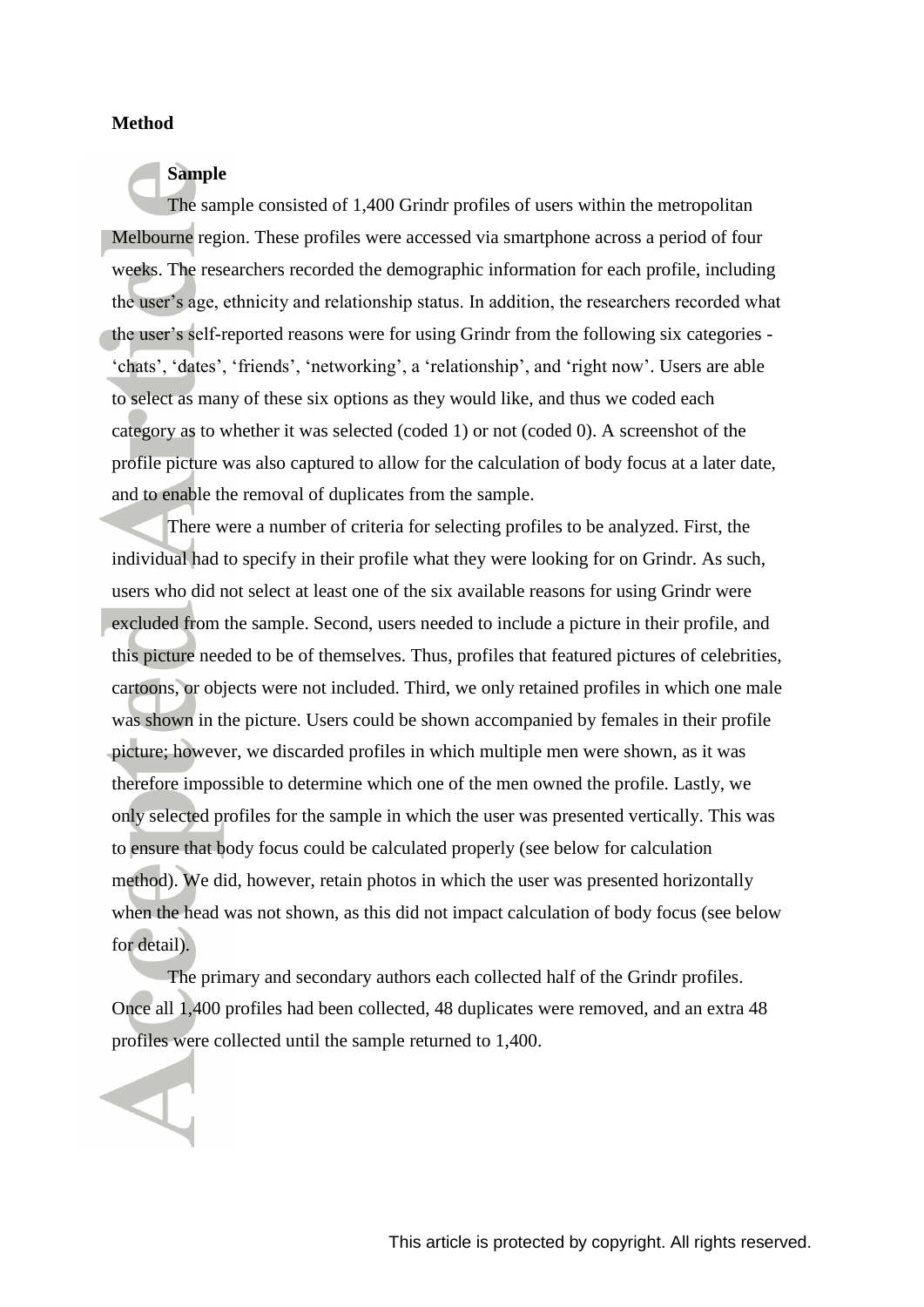### **Method**

### **Sample**

The sample consisted of 1,400 Grindr profiles of users within the metropolitan Melbourne region. These profiles were accessed via smartphone across a period of four weeks. The researchers recorded the demographic information for each profile, including the user's age, ethnicity and relationship status. In addition, the researchers recorded what the user's self-reported reasons were for using Grindr from the following six categories - 'chats', 'dates', 'friends', 'networking', a 'relationship', and 'right now'. Users are able to select as many of these six options as they would like, and thus we coded each category as to whether it was selected (coded 1) or not (coded 0). A screenshot of the profile picture was also captured to allow for the calculation of body focus at a later date, and to enable the removal of duplicates from the sample.

There were a number of criteria for selecting profiles to be analyzed. First, the individual had to specify in their profile what they were looking for on Grindr. As such, users who did not select at least one of the six available reasons for using Grindr were excluded from the sample. Second, users needed to include a picture in their profile, and this picture needed to be of themselves. Thus, profiles that featured pictures of celebrities, cartoons, or objects were not included. Third, we only retained profiles in which one male was shown in the picture. Users could be shown accompanied by females in their profile picture; however, we discarded profiles in which multiple men were shown, as it was therefore impossible to determine which one of the men owned the profile. Lastly, we only selected profiles for the sample in which the user was presented vertically. This was to ensure that body focus could be calculated properly (see below for calculation method). We did, however, retain photos in which the user was presented horizontally when the head was not shown, as this did not impact calculation of body focus (see below for detail).

The primary and secondary authors each collected half of the Grindr profiles. Once all 1,400 profiles had been collected, 48 duplicates were removed, and an extra 48 profiles were collected until the sample returned to 1,400.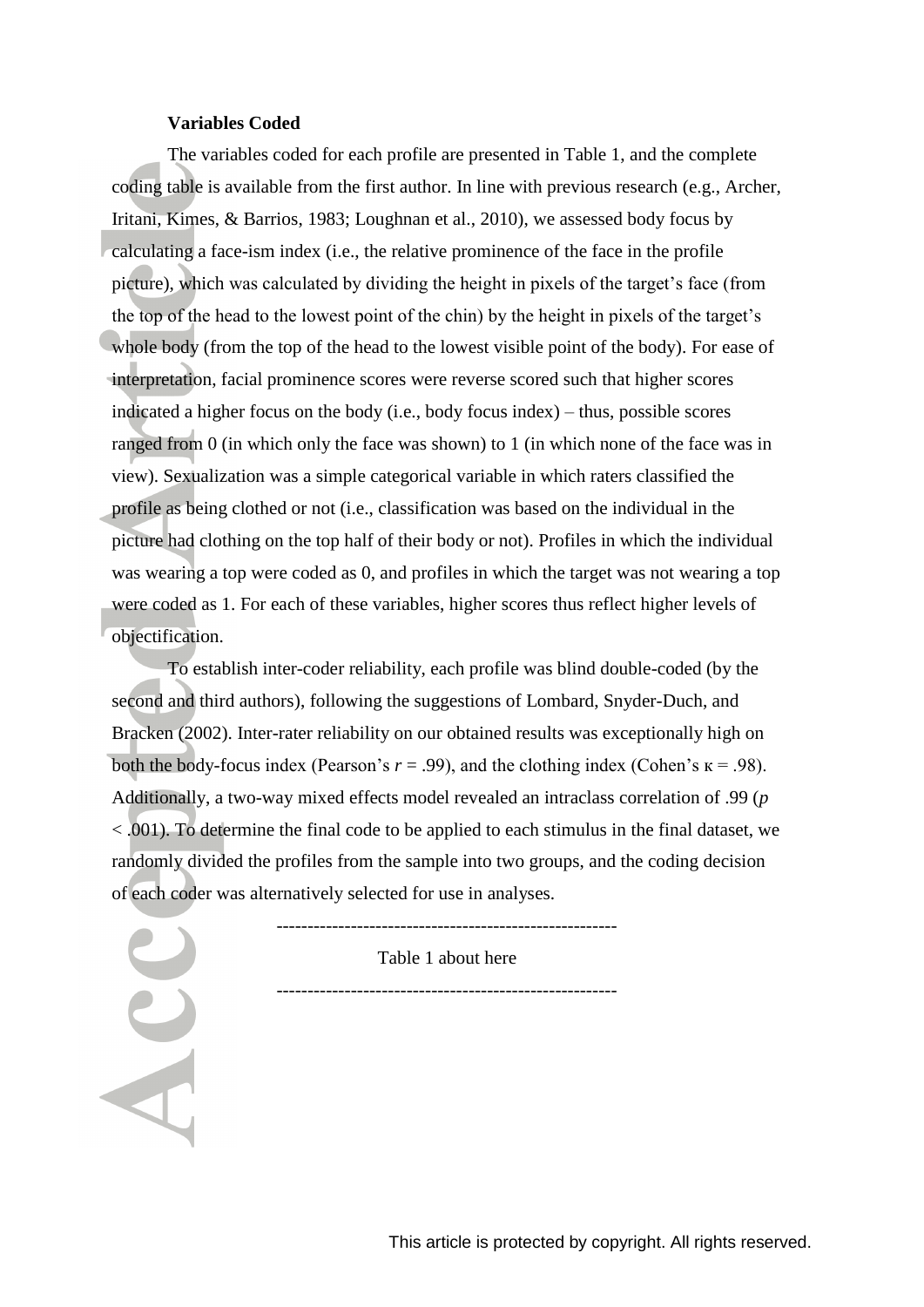### **Variables Coded**

The variables coded for each profile are presented in Table 1, and the complete coding table is available from the first author. In line with previous research (e.g., Archer, Iritani, Kimes, & Barrios, 1983; Loughnan et al., 2010), we assessed body focus by calculating a face-ism index (i.e., the relative prominence of the face in the profile picture), which was calculated by dividing the height in pixels of the target's face (from the top of the head to the lowest point of the chin) by the height in pixels of the target's whole body (from the top of the head to the lowest visible point of the body). For ease of interpretation, facial prominence scores were reverse scored such that higher scores indicated a higher focus on the body (i.e., body focus index) – thus, possible scores ranged from 0 (in which only the face was shown) to 1 (in which none of the face was in view). Sexualization was a simple categorical variable in which raters classified the profile as being clothed or not (i.e., classification was based on the individual in the picture had clothing on the top half of their body or not). Profiles in which the individual was wearing a top were coded as 0, and profiles in which the target was not wearing a top were coded as 1. For each of these variables, higher scores thus reflect higher levels of objectification.

To establish inter-coder reliability, each profile was blind double-coded (by the second and third authors), following the suggestions of Lombard, Snyder-Duch, and Bracken (2002). Inter-rater reliability on our obtained results was exceptionally high on both the body-focus index (Pearson's  $r = .99$ ), and the clothing index (Cohen's  $\kappa = .98$ ). Additionally, a two-way mixed effects model revealed an intraclass correlation of .99 (*p* < .001). To determine the final code to be applied to each stimulus in the final dataset, we randomly divided the profiles from the sample into two groups, and the coding decision of each coder was alternatively selected for use in analyses.

> Table 1 about here -------------------------------------------------------

> -------------------------------------------------------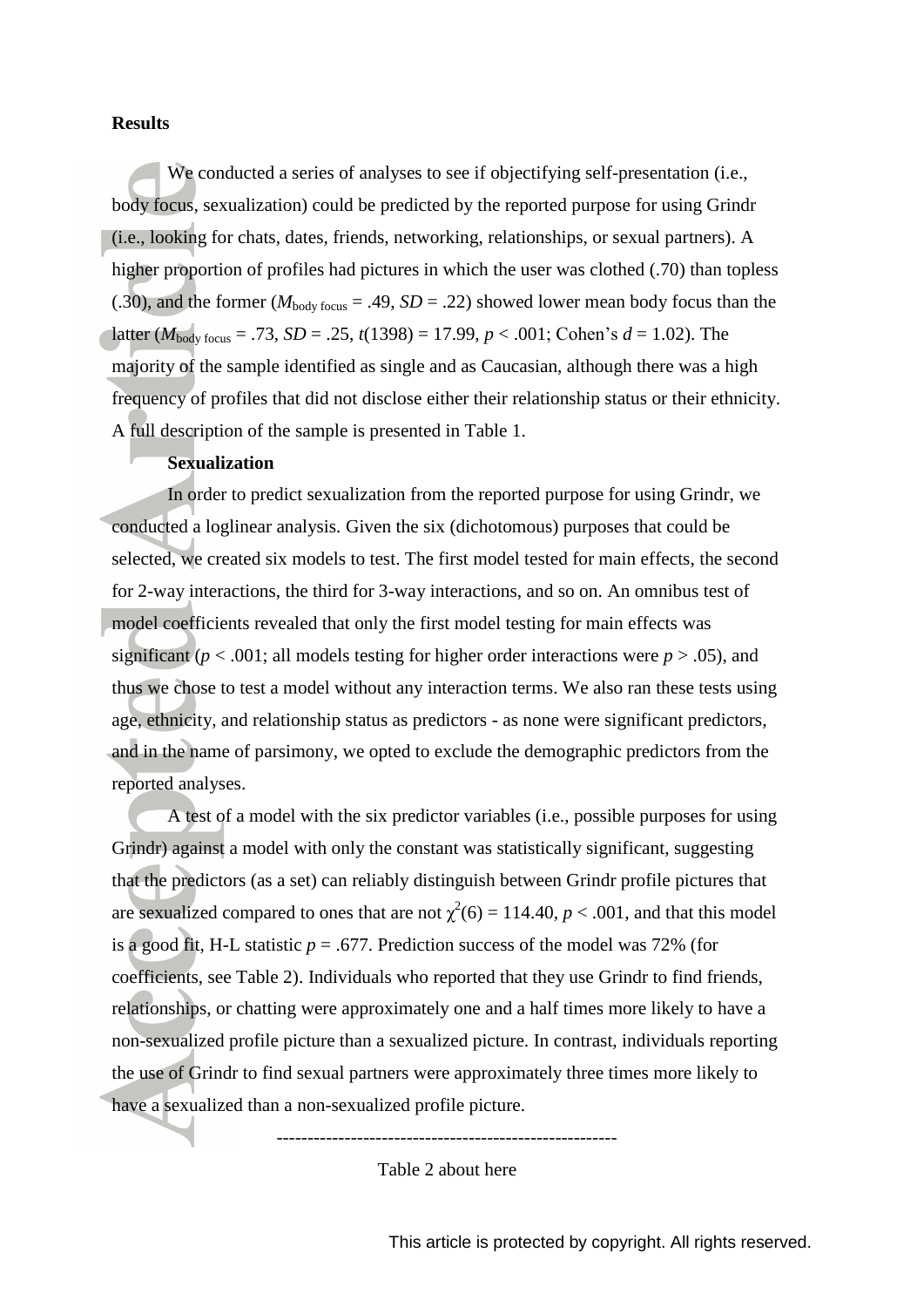### **Results**

We conducted a series of analyses to see if objectifying self-presentation (i.e., body focus, sexualization) could be predicted by the reported purpose for using Grindr (i.e., looking for chats, dates, friends, networking, relationships, or sexual partners). A higher proportion of profiles had pictures in which the user was clothed (.70) than topless (.30), and the former ( $M_{\text{body focus}} = .49$ ,  $SD = .22$ ) showed lower mean body focus than the latter ( $M_{\text{body focus}} = .73$ ,  $SD = .25$ ,  $t(1398) = 17.99$ ,  $p < .001$ ; Cohen's  $d = 1.02$ ). The majority of the sample identified as single and as Caucasian, although there was a high frequency of profiles that did not disclose either their relationship status or their ethnicity. A full description of the sample is presented in Table 1.

### **Sexualization**

In order to predict sexualization from the reported purpose for using Grindr, we conducted a loglinear analysis. Given the six (dichotomous) purposes that could be selected, we created six models to test. The first model tested for main effects, the second for 2-way interactions, the third for 3-way interactions, and so on. An omnibus test of model coefficients revealed that only the first model testing for main effects was significant ( $p < .001$ ; all models testing for higher order interactions were  $p > .05$ ), and thus we chose to test a model without any interaction terms. We also ran these tests using age, ethnicity, and relationship status as predictors - as none were significant predictors, and in the name of parsimony, we opted to exclude the demographic predictors from the reported analyses.

A test of a model with the six predictor variables (i.e., possible purposes for using Grindr) against a model with only the constant was statistically significant, suggesting that the predictors (as a set) can reliably distinguish between Grindr profile pictures that are sexualized compared to ones that are not  $\chi^2(6) = 114.40$ ,  $p < .001$ , and that this model is a good fit, H-L statistic  $p = .677$ . Prediction success of the model was 72% (for coefficients, see Table 2). Individuals who reported that they use Grindr to find friends, relationships, or chatting were approximately one and a half times more likely to have a non-sexualized profile picture than a sexualized picture. In contrast, individuals reporting the use of Grindr to find sexual partners were approximately three times more likely to have a sexualized than a non-sexualized profile picture.

Table 2 about here

-------------------------------------------------------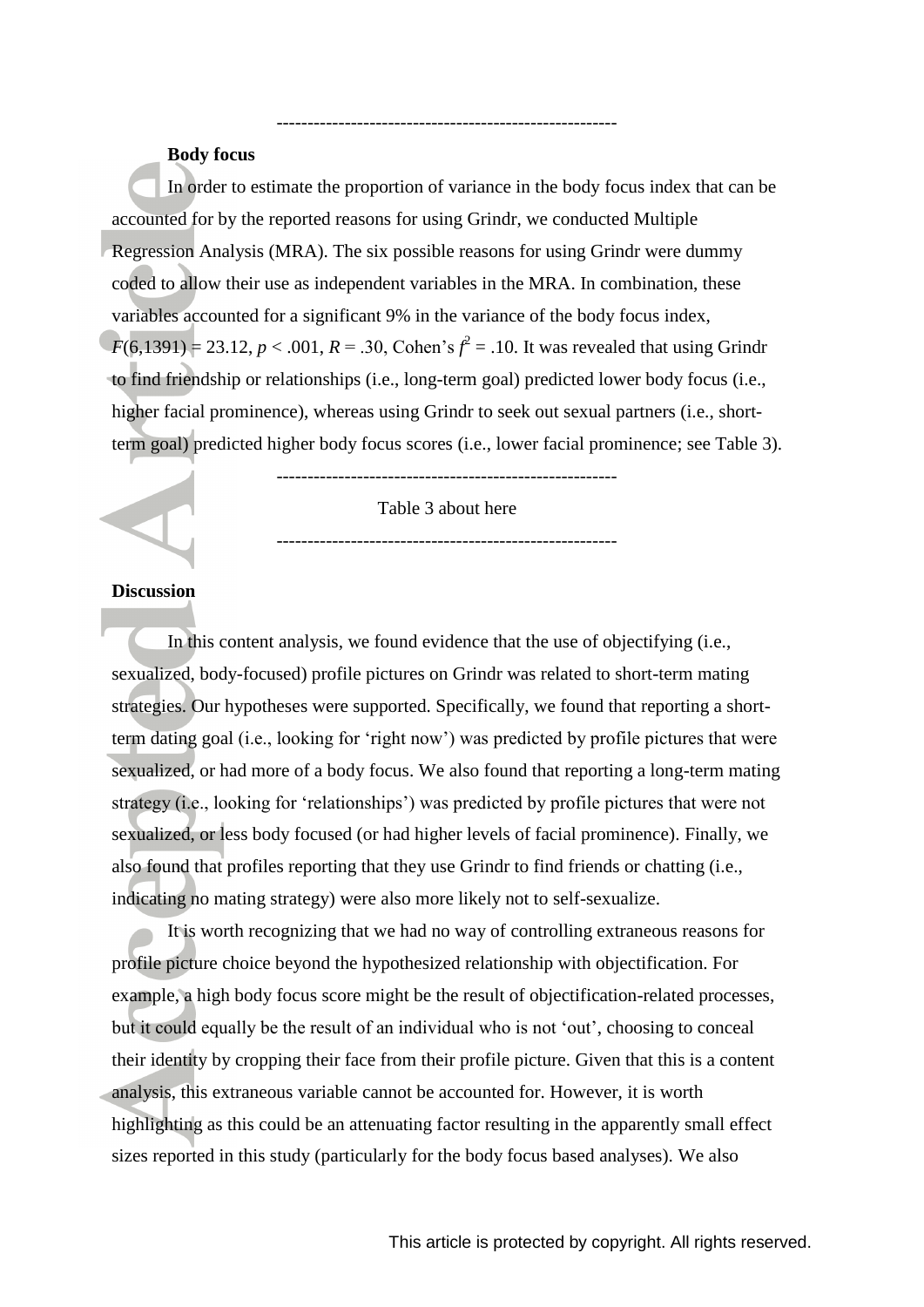### **Body focus**

In order to estimate the proportion of variance in the body focus index that can be accounted for by the reported reasons for using Grindr, we conducted Multiple Regression Analysis (MRA). The six possible reasons for using Grindr were dummy coded to allow their use as independent variables in the MRA. In combination, these variables accounted for a significant 9% in the variance of the body focus index,  $F(6,1391) = 23.12, p < .001, R = .30, \text{ Cohen's } f^2 = .10.$  It was revealed that using Grindr to find friendship or relationships (i.e., long-term goal) predicted lower body focus (i.e., higher facial prominence), whereas using Grindr to seek out sexual partners (i.e., shortterm goal) predicted higher body focus scores (i.e., lower facial prominence; see Table 3).

-------------------------------------------------------

Table 3 about here

-------------------------------------------------------

-------------------------------------------------------

### **Discussion**

In this content analysis, we found evidence that the use of objectifying (i.e., sexualized, body-focused) profile pictures on Grindr was related to short-term mating strategies. Our hypotheses were supported. Specifically, we found that reporting a shortterm dating goal (i.e., looking for 'right now') was predicted by profile pictures that were sexualized, or had more of a body focus. We also found that reporting a long-term mating strategy (i.e., looking for 'relationships') was predicted by profile pictures that were not sexualized, or less body focused (or had higher levels of facial prominence). Finally, we also found that profiles reporting that they use Grindr to find friends or chatting (i.e., indicating no mating strategy) were also more likely not to self-sexualize.

It is worth recognizing that we had no way of controlling extraneous reasons for profile picture choice beyond the hypothesized relationship with objectification. For example, a high body focus score might be the result of objectification-related processes, but it could equally be the result of an individual who is not 'out', choosing to conceal their identity by cropping their face from their profile picture. Given that this is a content analysis, this extraneous variable cannot be accounted for. However, it is worth highlighting as this could be an attenuating factor resulting in the apparently small effect sizes reported in this study (particularly for the body focus based analyses). We also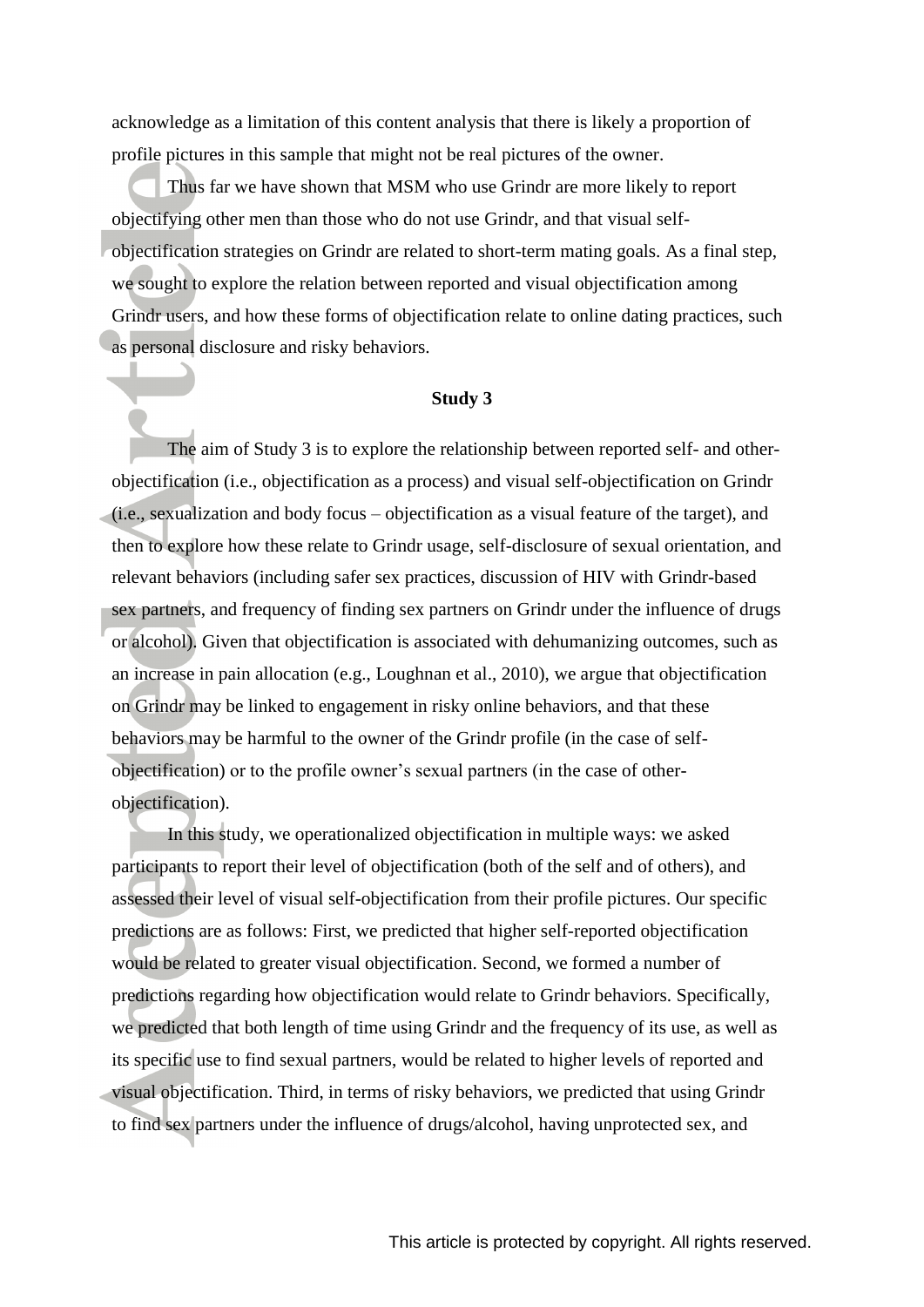acknowledge as a limitation of this content analysis that there is likely a proportion of profile pictures in this sample that might not be real pictures of the owner.

Thus far we have shown that MSM who use Grindr are more likely to report objectifying other men than those who do not use Grindr, and that visual selfobjectification strategies on Grindr are related to short-term mating goals. As a final step, we sought to explore the relation between reported and visual objectification among Grindr users, and how these forms of objectification relate to online dating practices, such as personal disclosure and risky behaviors.

### **Study 3**

The aim of Study 3 is to explore the relationship between reported self- and otherobjectification (i.e., objectification as a process) and visual self-objectification on Grindr (i.e., sexualization and body focus – objectification as a visual feature of the target), and then to explore how these relate to Grindr usage, self-disclosure of sexual orientation, and relevant behaviors (including safer sex practices, discussion of HIV with Grindr-based sex partners, and frequency of finding sex partners on Grindr under the influence of drugs or alcohol). Given that objectification is associated with dehumanizing outcomes, such as an increase in pain allocation (e.g., Loughnan et al., 2010), we argue that objectification on Grindr may be linked to engagement in risky online behaviors, and that these behaviors may be harmful to the owner of the Grindr profile (in the case of selfobjectification) or to the profile owner's sexual partners (in the case of otherobjectification).

In this study, we operationalized objectification in multiple ways: we asked participants to report their level of objectification (both of the self and of others), and assessed their level of visual self-objectification from their profile pictures. Our specific predictions are as follows: First, we predicted that higher self-reported objectification would be related to greater visual objectification. Second, we formed a number of predictions regarding how objectification would relate to Grindr behaviors. Specifically, we predicted that both length of time using Grindr and the frequency of its use, as well as its specific use to find sexual partners, would be related to higher levels of reported and visual objectification. Third, in terms of risky behaviors, we predicted that using Grindr to find sex partners under the influence of drugs/alcohol, having unprotected sex, and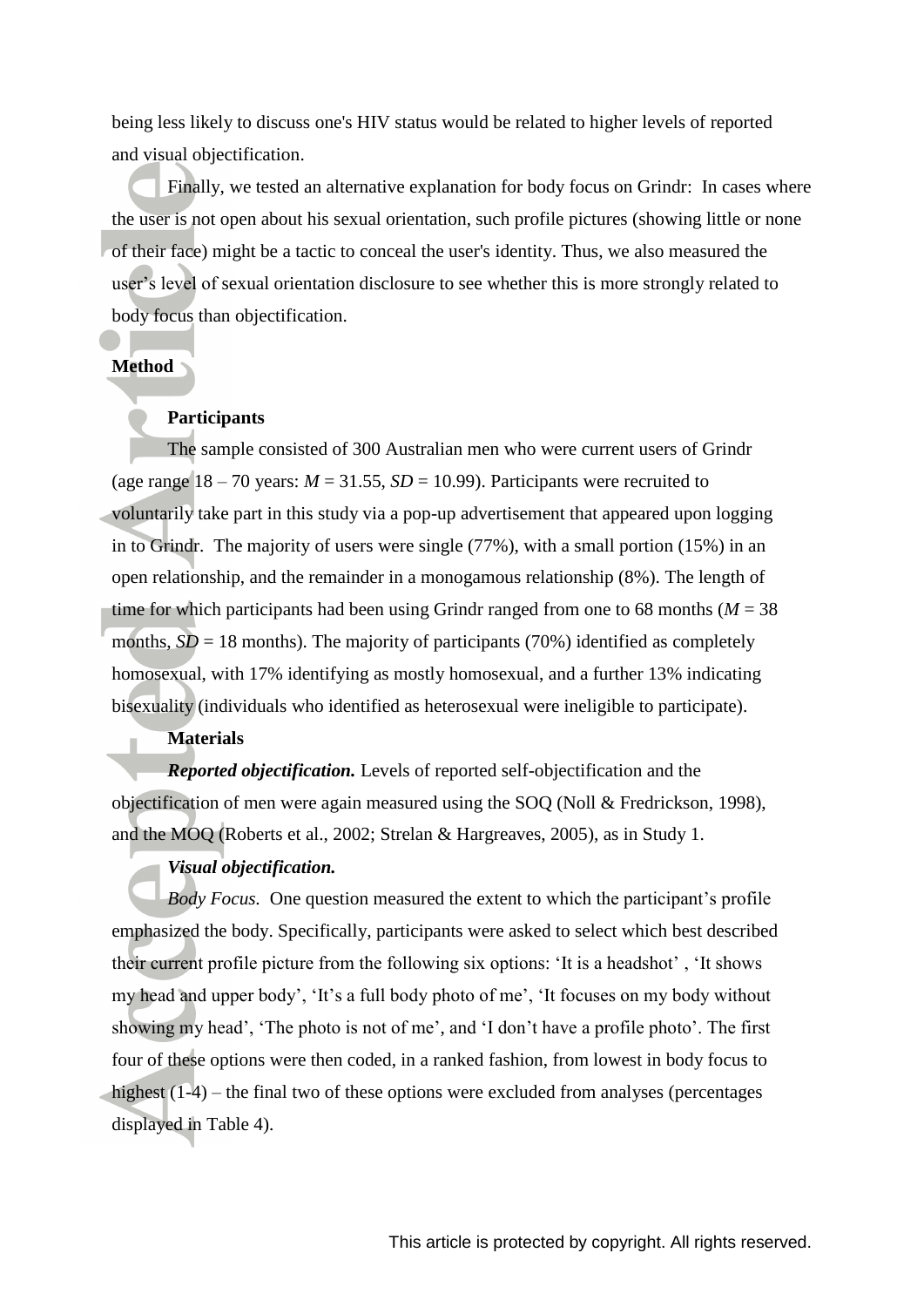being less likely to discuss one's HIV status would be related to higher levels of reported and visual objectification.

Finally, we tested an alternative explanation for body focus on Grindr: In cases where the user is not open about his sexual orientation, such profile pictures (showing little or none of their face) might be a tactic to conceal the user's identity. Thus, we also measured the user's level of sexual orientation disclosure to see whether this is more strongly related to body focus than objectification.

### **Method**

### **Participants**

The sample consisted of 300 Australian men who were current users of Grindr (age range  $18 - 70$  years:  $M = 31.55$ ,  $SD = 10.99$ ). Participants were recruited to voluntarily take part in this study via a pop-up advertisement that appeared upon logging in to Grindr. The majority of users were single (77%), with a small portion (15%) in an open relationship, and the remainder in a monogamous relationship (8%). The length of time for which participants had been using Grindr ranged from one to 68 months ( $M = 38$ ) months,  $SD = 18$  months). The majority of participants (70%) identified as completely homosexual, with 17% identifying as mostly homosexual, and a further 13% indicating bisexuality (individuals who identified as heterosexual were ineligible to participate).

### **Materials**

*Reported objectification.* Levels of reported self-objectification and the objectification of men were again measured using the SOQ (Noll & Fredrickson, 1998), and the MOQ (Roberts et al., 2002; Strelan & Hargreaves, 2005), as in Study 1.

### *Visual objectification.*

*Body Focus.* One question measured the extent to which the participant's profile emphasized the body. Specifically, participants were asked to select which best described their current profile picture from the following six options: 'It is a headshot' , 'It shows my head and upper body', 'It's a full body photo of me', 'It focuses on my body without showing my head', 'The photo is not of me', and 'I don't have a profile photo'. The first four of these options were then coded, in a ranked fashion, from lowest in body focus to highest (1-4) – the final two of these options were excluded from analyses (percentages displayed in Table 4).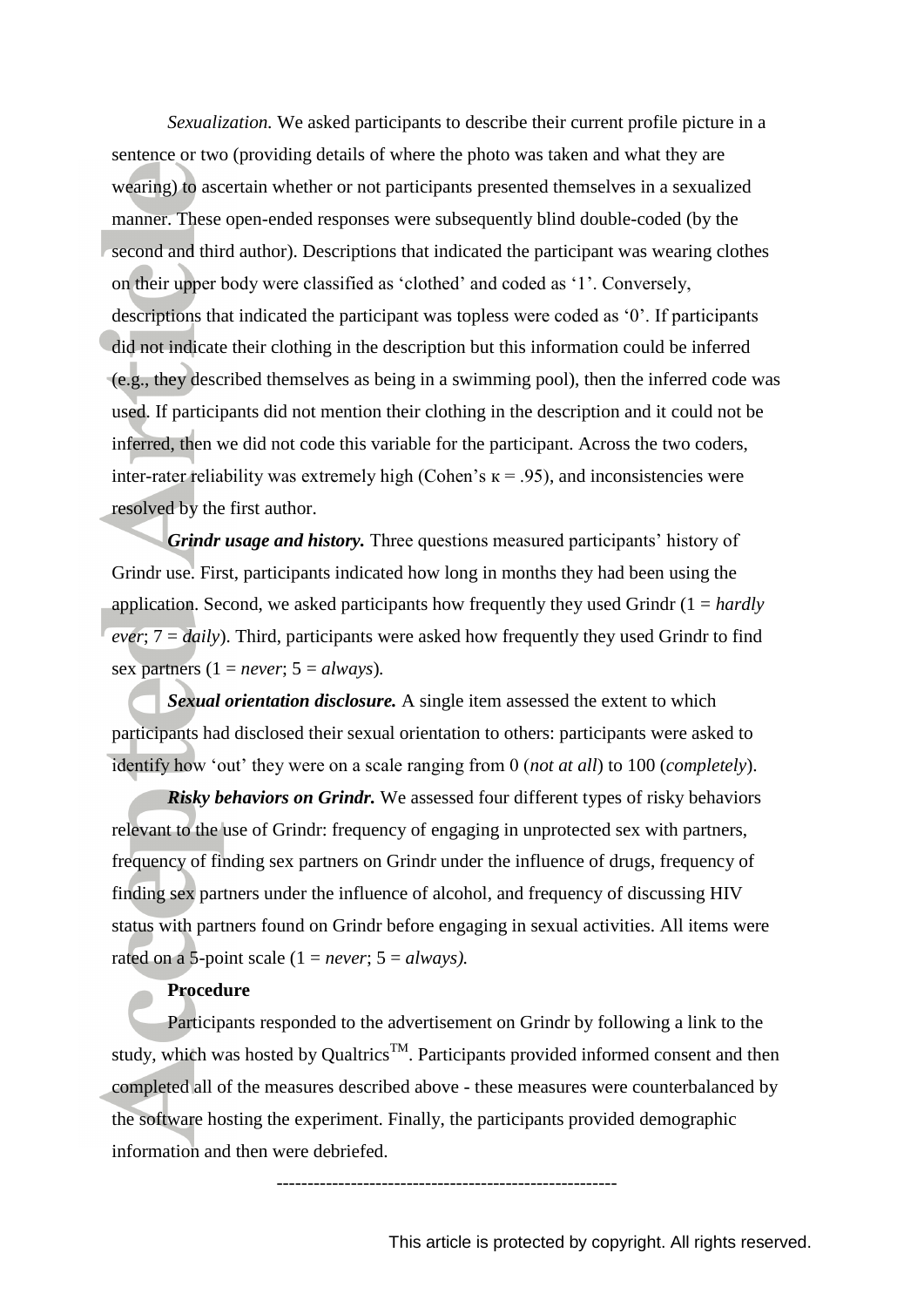*Sexualization.* We asked participants to describe their current profile picture in a sentence or two (providing details of where the photo was taken and what they are wearing) to ascertain whether or not participants presented themselves in a sexualized manner. These open-ended responses were subsequently blind double-coded (by the second and third author). Descriptions that indicated the participant was wearing clothes on their upper body were classified as 'clothed' and coded as '1'. Conversely, descriptions that indicated the participant was topless were coded as '0'. If participants did not indicate their clothing in the description but this information could be inferred (e.g., they described themselves as being in a swimming pool), then the inferred code was used. If participants did not mention their clothing in the description and it could not be inferred, then we did not code this variable for the participant. Across the two coders, inter-rater reliability was extremely high (Cohen's  $\kappa$  = .95), and inconsistencies were resolved by the first author.

*Grindr usage and history.* Three questions measured participants' history of Grindr use. First, participants indicated how long in months they had been using the application. Second, we asked participants how frequently they used Grindr (1 = *hardly ever*; 7 = *daily*). Third, participants were asked how frequently they used Grindr to find sex partners  $(1 = never; 5 = always).$ 

*Sexual orientation disclosure.* A single item assessed the extent to which participants had disclosed their sexual orientation to others: participants were asked to identify how 'out' they were on a scale ranging from 0 (*not at all*) to 100 (*completely*).

*Risky behaviors on Grindr.* We assessed four different types of risky behaviors relevant to the use of Grindr: frequency of engaging in unprotected sex with partners, frequency of finding sex partners on Grindr under the influence of drugs, frequency of finding sex partners under the influence of alcohol, and frequency of discussing HIV status with partners found on Grindr before engaging in sexual activities. All items were rated on a 5-point scale  $(1 = never; 5 = always)$ .

### **Procedure**

Participants responded to the advertisement on Grindr by following a link to the study, which was hosted by Qualtrics<sup>TM</sup>. Participants provided informed consent and then completed all of the measures described above - these measures were counterbalanced by the software hosting the experiment. Finally, the participants provided demographic information and then were debriefed.

-------------------------------------------------------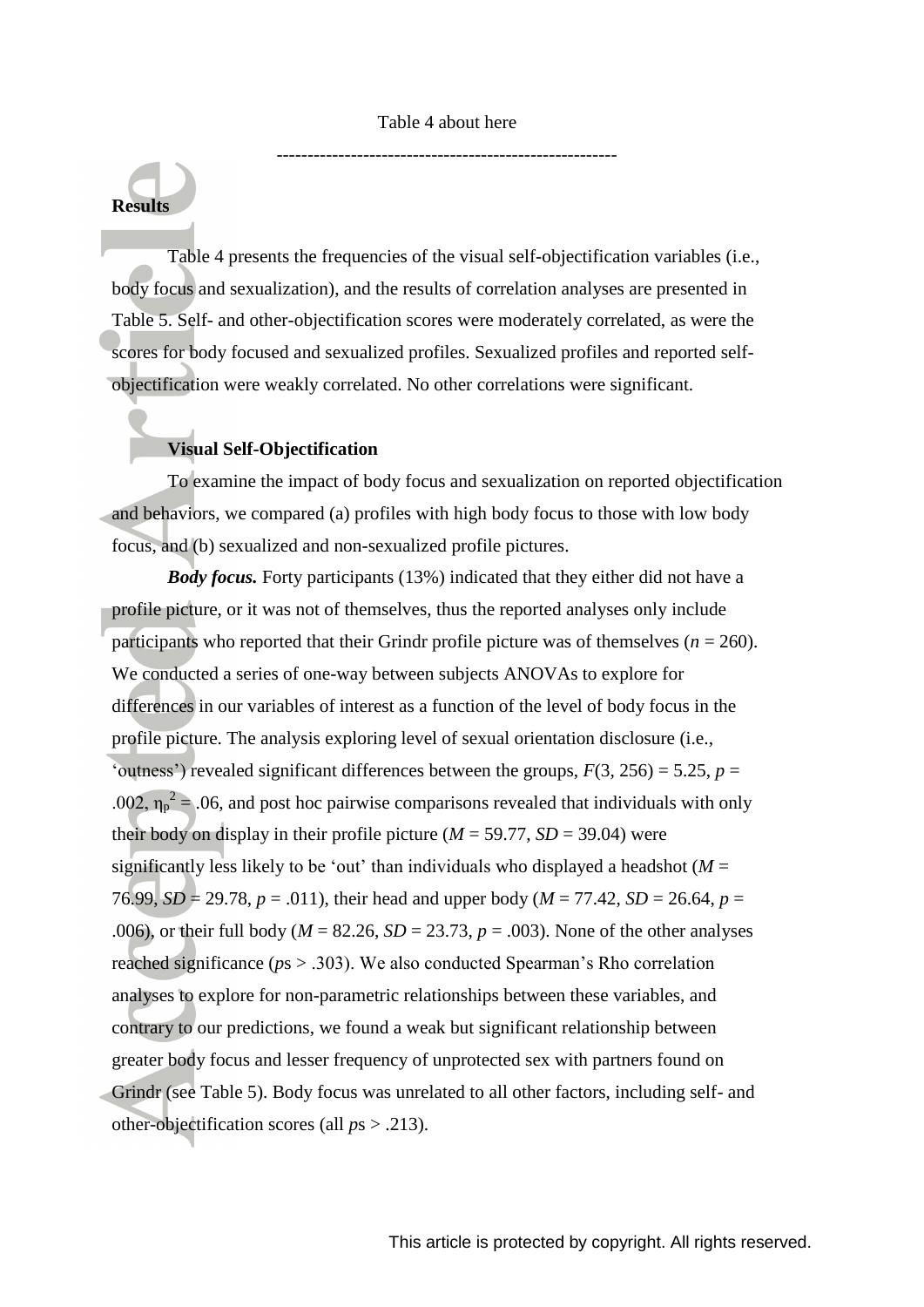### Table 4 about here

-------------------------------------------------------

# **Results**

Table 4 presents the frequencies of the visual self-objectification variables (i.e., body focus and sexualization), and the results of correlation analyses are presented in Table 5. Self- and other-objectification scores were moderately correlated, as were the scores for body focused and sexualized profiles. Sexualized profiles and reported selfobjectification were weakly correlated. No other correlations were significant.

### **Visual Self-Objectification**

To examine the impact of body focus and sexualization on reported objectification and behaviors, we compared (a) profiles with high body focus to those with low body focus, and (b) sexualized and non-sexualized profile pictures.

*Body focus.* Forty participants (13%) indicated that they either did not have a profile picture, or it was not of themselves, thus the reported analyses only include participants who reported that their Grindr profile picture was of themselves  $(n = 260)$ . We conducted a series of one-way between subjects ANOVAs to explore for differences in our variables of interest as a function of the level of body focus in the profile picture. The analysis exploring level of sexual orientation disclosure (i.e., 'outness') revealed significant differences between the groups,  $F(3, 256) = 5.25$ ,  $p =$ .002,  $\eta_p^2 = 0.06$ , and post hoc pairwise comparisons revealed that individuals with only their body on display in their profile picture  $(M = 59.77, SD = 39.04)$  were significantly less likely to be 'out' than individuals who displayed a headshot  $(M =$ 76.99,  $SD = 29.78$ ,  $p = .011$ ), their head and upper body ( $M = 77.42$ ,  $SD = 26.64$ ,  $p =$ .006), or their full body ( $M = 82.26$ ,  $SD = 23.73$ ,  $p = .003$ ). None of the other analyses reached significance (*p*s > .303). We also conducted Spearman's Rho correlation analyses to explore for non-parametric relationships between these variables, and contrary to our predictions, we found a weak but significant relationship between greater body focus and lesser frequency of unprotected sex with partners found on Grindr (see Table 5). Body focus was unrelated to all other factors, including self- and other-objectification scores (all *p*s > .213).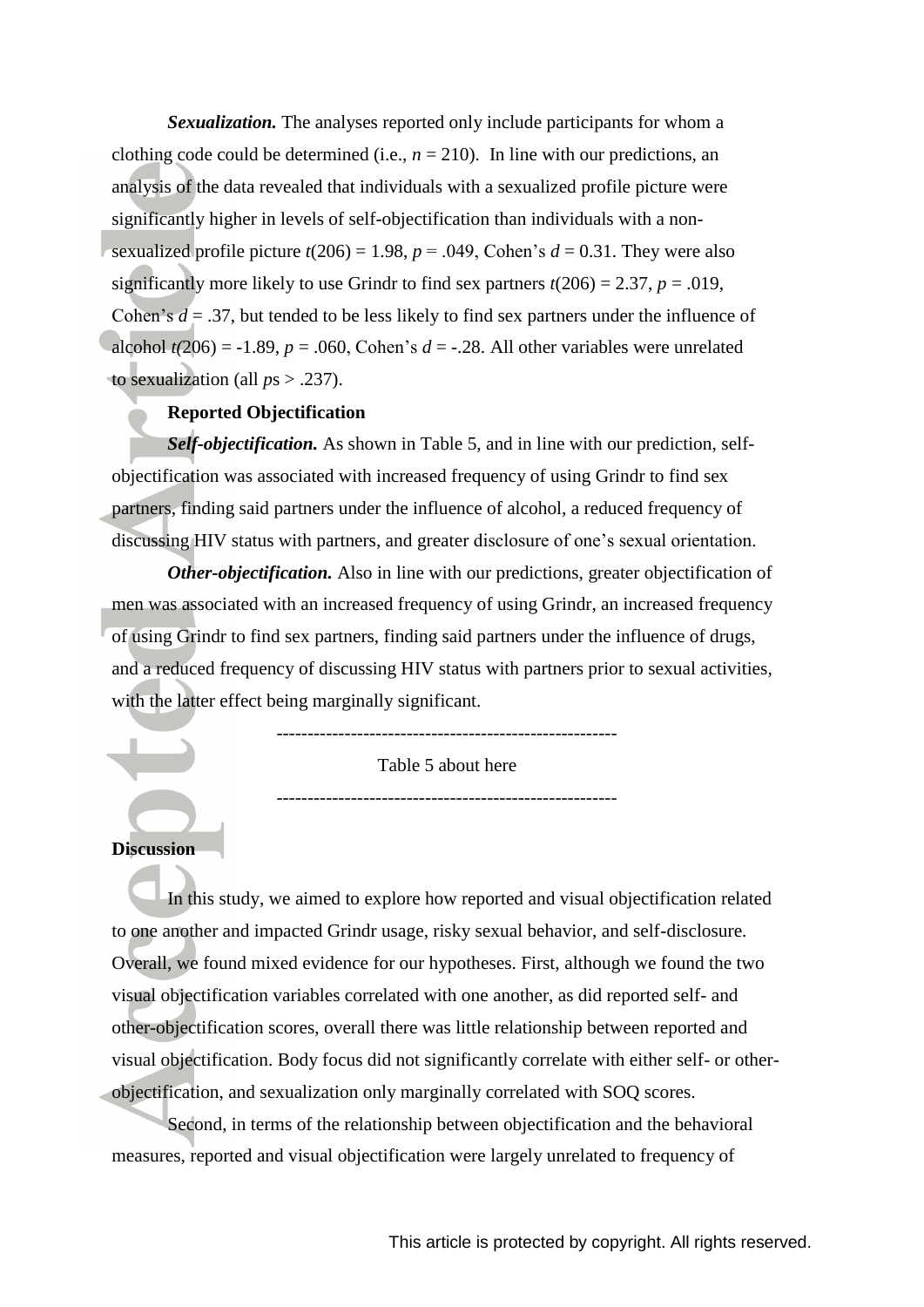*Sexualization.* The analyses reported only include participants for whom a clothing code could be determined (i.e.,  $n = 210$ ). In line with our predictions, an analysis of the data revealed that individuals with a sexualized profile picture were significantly higher in levels of self-objectification than individuals with a nonsexualized profile picture  $t(206) = 1.98$ ,  $p = .049$ , Cohen's  $d = 0.31$ . They were also significantly more likely to use Grindr to find sex partners  $t(206) = 2.37$ ,  $p = .019$ , Cohen's *d* = .37, but tended to be less likely to find sex partners under the influence of alcohol  $t(206) = -1.89$ ,  $p = .060$ , Cohen's  $d = -.28$ . All other variables were unrelated to sexualization (all *p*s > .237).

### **Reported Objectification**

*Self-objectification.* As shown in Table 5, and in line with our prediction, selfobjectification was associated with increased frequency of using Grindr to find sex partners, finding said partners under the influence of alcohol, a reduced frequency of discussing HIV status with partners, and greater disclosure of one's sexual orientation.

*Other-objectification.* Also in line with our predictions, greater objectification of men was associated with an increased frequency of using Grindr, an increased frequency of using Grindr to find sex partners, finding said partners under the influence of drugs, and a reduced frequency of discussing HIV status with partners prior to sexual activities, with the latter effect being marginally significant.

> ------------------------------------------------------- Table 5 about here

> -------------------------------------------------------

### **Discussion**

In this study, we aimed to explore how reported and visual objectification related to one another and impacted Grindr usage, risky sexual behavior, and self-disclosure. Overall, we found mixed evidence for our hypotheses. First, although we found the two visual objectification variables correlated with one another, as did reported self- and other-objectification scores, overall there was little relationship between reported and visual objectification. Body focus did not significantly correlate with either self- or otherobjectification, and sexualization only marginally correlated with SOQ scores.

Second, in terms of the relationship between objectification and the behavioral measures, reported and visual objectification were largely unrelated to frequency of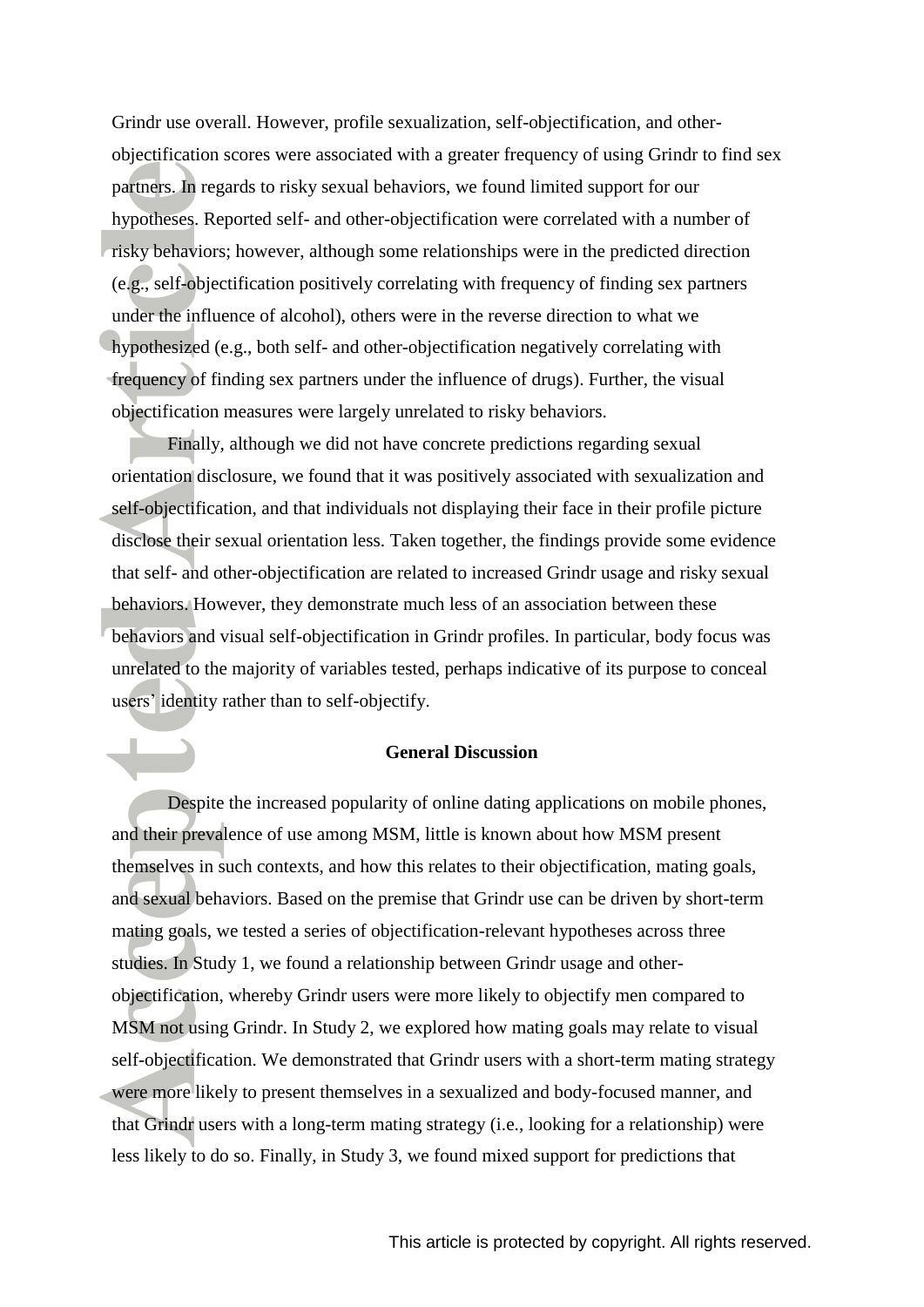Grindr use overall. However, profile sexualization, self-objectification, and otherobjectification scores were associated with a greater frequency of using Grindr to find sex partners. In regards to risky sexual behaviors, we found limited support for our hypotheses. Reported self- and other-objectification were correlated with a number of risky behaviors; however, although some relationships were in the predicted direction (e.g., self-objectification positively correlating with frequency of finding sex partners under the influence of alcohol), others were in the reverse direction to what we hypothesized (e.g., both self- and other-objectification negatively correlating with frequency of finding sex partners under the influence of drugs). Further, the visual objectification measures were largely unrelated to risky behaviors.

Finally, although we did not have concrete predictions regarding sexual orientation disclosure, we found that it was positively associated with sexualization and self-objectification, and that individuals not displaying their face in their profile picture disclose their sexual orientation less. Taken together, the findings provide some evidence that self- and other-objectification are related to increased Grindr usage and risky sexual behaviors. However, they demonstrate much less of an association between these behaviors and visual self-objectification in Grindr profiles. In particular, body focus was unrelated to the majority of variables tested, perhaps indicative of its purpose to conceal users' identity rather than to self-objectify.

### **General Discussion**

Despite the increased popularity of online dating applications on mobile phones, and their prevalence of use among MSM, little is known about how MSM present themselves in such contexts, and how this relates to their objectification, mating goals, and sexual behaviors. Based on the premise that Grindr use can be driven by short-term mating goals, we tested a series of objectification-relevant hypotheses across three studies. In Study 1, we found a relationship between Grindr usage and otherobjectification, whereby Grindr users were more likely to objectify men compared to MSM not using Grindr. In Study 2, we explored how mating goals may relate to visual self-objectification. We demonstrated that Grindr users with a short-term mating strategy were more likely to present themselves in a sexualized and body-focused manner, and that Grindr users with a long-term mating strategy (i.e., looking for a relationship) were less likely to do so. Finally, in Study 3, we found mixed support for predictions that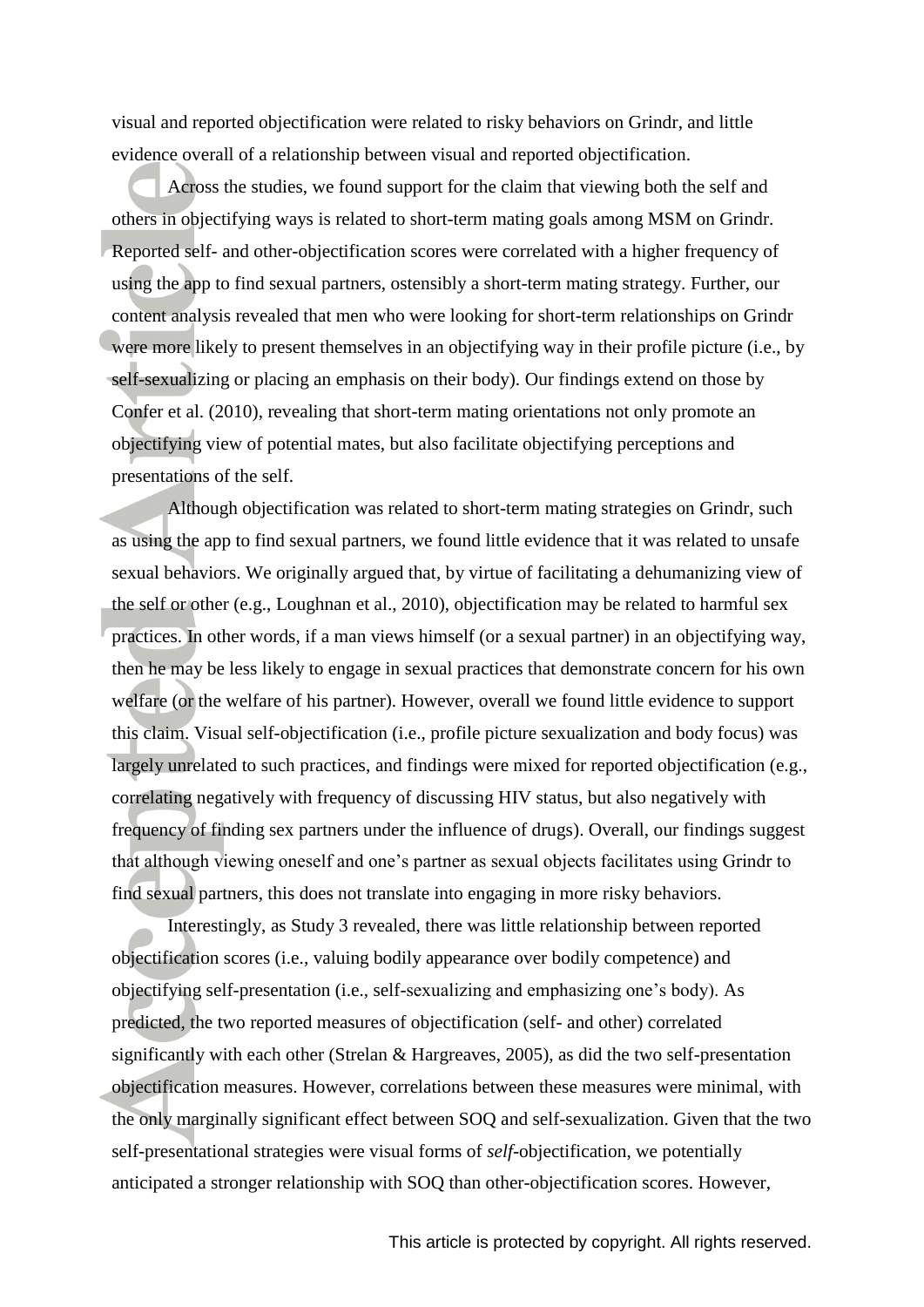visual and reported objectification were related to risky behaviors on Grindr, and little evidence overall of a relationship between visual and reported objectification.

Across the studies, we found support for the claim that viewing both the self and others in objectifying ways is related to short-term mating goals among MSM on Grindr. Reported self- and other-objectification scores were correlated with a higher frequency of using the app to find sexual partners, ostensibly a short-term mating strategy. Further, our content analysis revealed that men who were looking for short-term relationships on Grindr were more likely to present themselves in an objectifying way in their profile picture (i.e., by self-sexualizing or placing an emphasis on their body). Our findings extend on those by Confer et al. (2010), revealing that short-term mating orientations not only promote an objectifying view of potential mates, but also facilitate objectifying perceptions and presentations of the self.

Although objectification was related to short-term mating strategies on Grindr, such as using the app to find sexual partners, we found little evidence that it was related to unsafe sexual behaviors. We originally argued that, by virtue of facilitating a dehumanizing view of the self or other (e.g., Loughnan et al., 2010), objectification may be related to harmful sex practices. In other words, if a man views himself (or a sexual partner) in an objectifying way, then he may be less likely to engage in sexual practices that demonstrate concern for his own welfare (or the welfare of his partner). However, overall we found little evidence to support this claim. Visual self-objectification (i.e., profile picture sexualization and body focus) was largely unrelated to such practices, and findings were mixed for reported objectification (e.g., correlating negatively with frequency of discussing HIV status, but also negatively with frequency of finding sex partners under the influence of drugs). Overall, our findings suggest that although viewing oneself and one's partner as sexual objects facilitates using Grindr to find sexual partners, this does not translate into engaging in more risky behaviors.

Interestingly, as Study 3 revealed, there was little relationship between reported objectification scores (i.e., valuing bodily appearance over bodily competence) and objectifying self-presentation (i.e., self-sexualizing and emphasizing one's body). As predicted, the two reported measures of objectification (self- and other) correlated significantly with each other (Strelan & Hargreaves, 2005), as did the two self-presentation objectification measures. However, correlations between these measures were minimal, with the only marginally significant effect between SOQ and self-sexualization. Given that the two self-presentational strategies were visual forms of *self*-objectification, we potentially anticipated a stronger relationship with SOQ than other-objectification scores. However,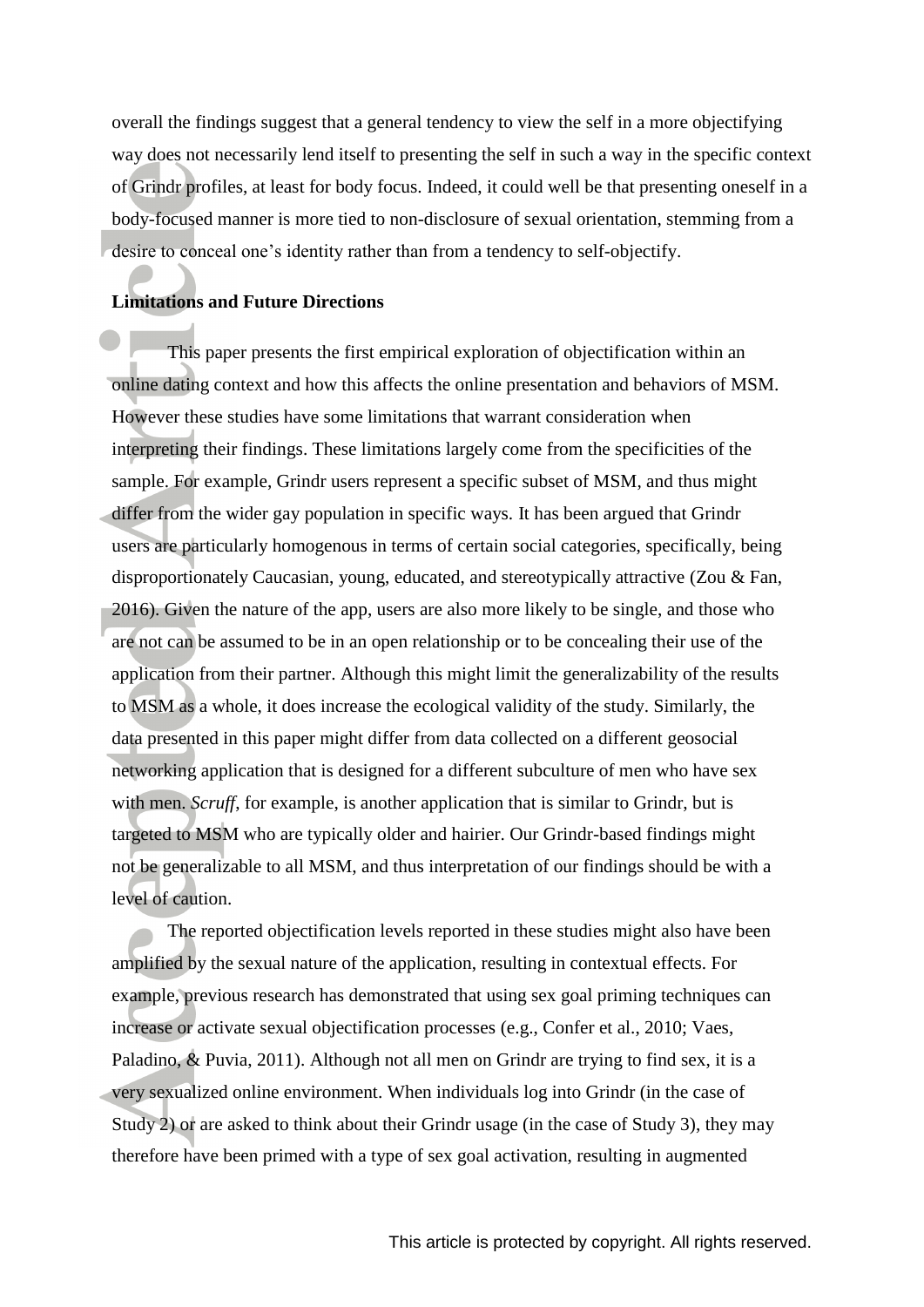overall the findings suggest that a general tendency to view the self in a more objectifying way does not necessarily lend itself to presenting the self in such a way in the specific context of Grindr profiles, at least for body focus. Indeed, it could well be that presenting oneself in a body-focused manner is more tied to non-disclosure of sexual orientation, stemming from a desire to conceal one's identity rather than from a tendency to self-objectify.

### **Limitations and Future Directions**

This paper presents the first empirical exploration of objectification within an online dating context and how this affects the online presentation and behaviors of MSM. However these studies have some limitations that warrant consideration when interpreting their findings. These limitations largely come from the specificities of the sample. For example, Grindr users represent a specific subset of MSM, and thus might differ from the wider gay population in specific ways. It has been argued that Grindr users are particularly homogenous in terms of certain social categories, specifically, being disproportionately Caucasian, young, educated, and stereotypically attractive (Zou & Fan, 2016). Given the nature of the app, users are also more likely to be single, and those who are not can be assumed to be in an open relationship or to be concealing their use of the application from their partner. Although this might limit the generalizability of the results to MSM as a whole, it does increase the ecological validity of the study. Similarly, the data presented in this paper might differ from data collected on a different geosocial networking application that is designed for a different subculture of men who have sex with men. *Scruff*, for example, is another application that is similar to Grindr, but is targeted to MSM who are typically older and hairier. Our Grindr-based findings might not be generalizable to all MSM, and thus interpretation of our findings should be with a level of caution.

The reported objectification levels reported in these studies might also have been amplified by the sexual nature of the application, resulting in contextual effects. For example, previous research has demonstrated that using sex goal priming techniques can increase or activate sexual objectification processes (e.g., Confer et al., 2010; Vaes, Paladino, & Puvia, 2011). Although not all men on Grindr are trying to find sex, it is a very sexualized online environment. When individuals log into Grindr (in the case of Study 2) or are asked to think about their Grindr usage (in the case of Study 3), they may therefore have been primed with a type of sex goal activation, resulting in augmented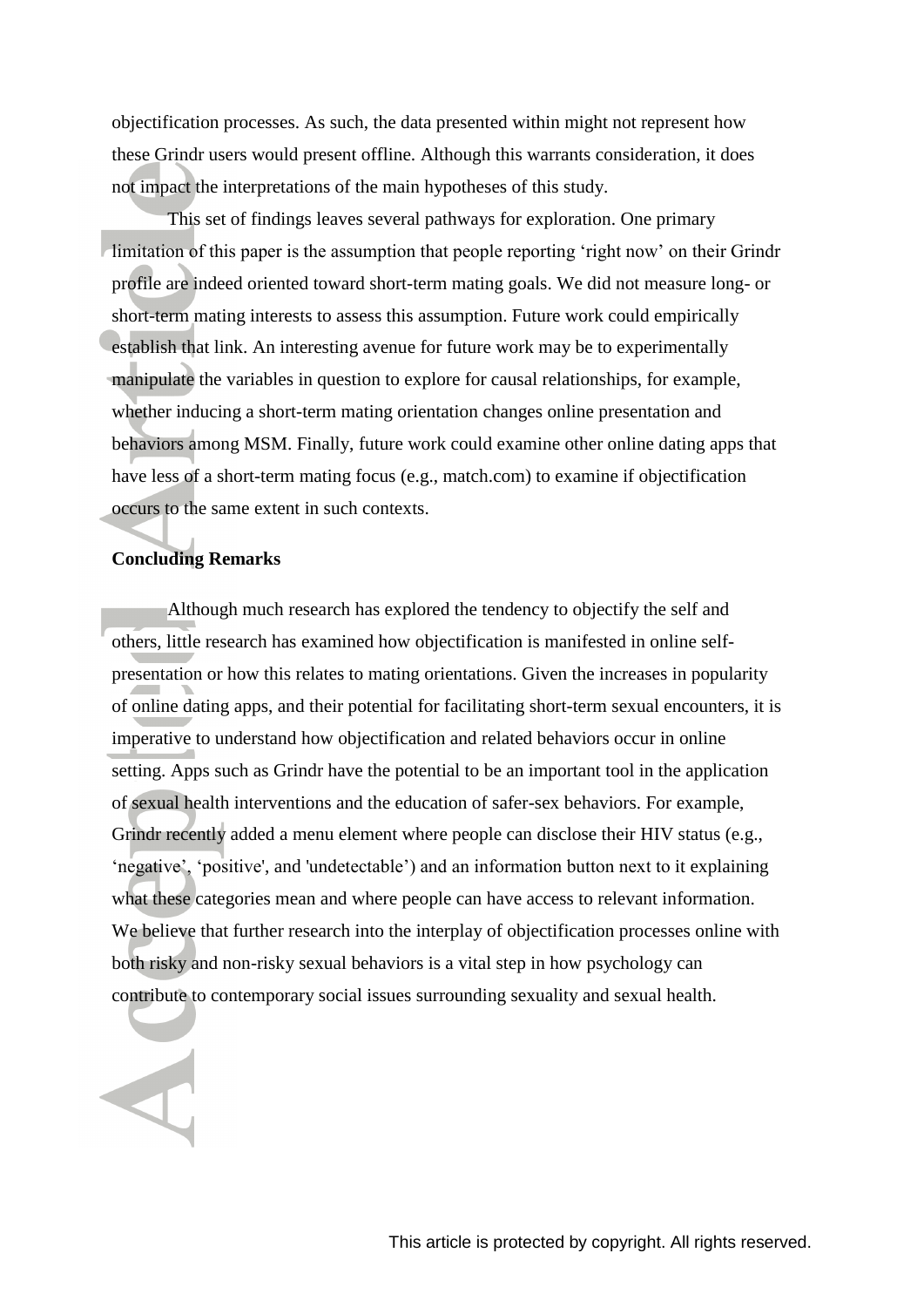objectification processes. As such, the data presented within might not represent how these Grindr users would present offline. Although this warrants consideration, it does not impact the interpretations of the main hypotheses of this study.

This set of findings leaves several pathways for exploration. One primary limitation of this paper is the assumption that people reporting 'right now' on their Grindr profile are indeed oriented toward short-term mating goals. We did not measure long- or short-term mating interests to assess this assumption. Future work could empirically establish that link. An interesting avenue for future work may be to experimentally manipulate the variables in question to explore for causal relationships, for example, whether inducing a short-term mating orientation changes online presentation and behaviors among MSM. Finally, future work could examine other online dating apps that have less of a short-term mating focus (e.g., match.com) to examine if objectification occurs to the same extent in such contexts.

### **Concluding Remarks**

Although much research has explored the tendency to objectify the self and others, little research has examined how objectification is manifested in online selfpresentation or how this relates to mating orientations. Given the increases in popularity of online dating apps, and their potential for facilitating short-term sexual encounters, it is imperative to understand how objectification and related behaviors occur in online setting. Apps such as Grindr have the potential to be an important tool in the application of sexual health interventions and the education of safer-sex behaviors. For example, Grindr recently added a menu element where people can disclose their HIV status (e.g., 'negative', 'positive', and 'undetectable') and an information button next to it explaining what these categories mean and where people can have access to relevant information. We believe that further research into the interplay of objectification processes online with both risky and non-risky sexual behaviors is a vital step in how psychology can contribute to contemporary social issues surrounding sexuality and sexual health.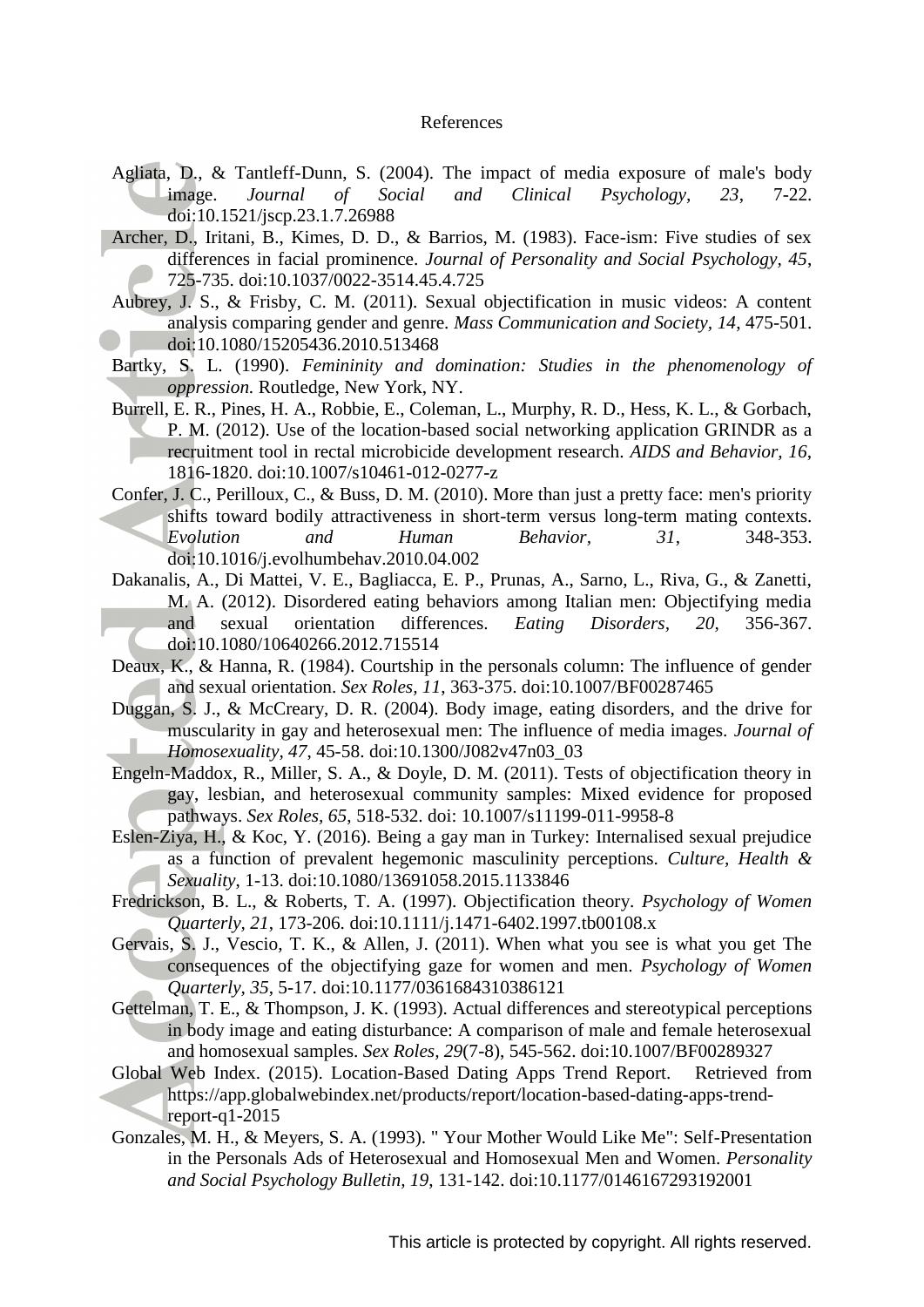### References

- Agliata, D., & Tantleff-Dunn, S. (2004). The impact of media exposure of male's body image. *Journal of Social and Clinical Psychology, 23*, 7-22. doi:10.1521/jscp.23.1.7.26988
- Archer, D., Iritani, B., Kimes, D. D., & Barrios, M. (1983). Face-ism: Five studies of sex differences in facial prominence. *Journal of Personality and Social Psychology, 45*, 725-735. doi:10.1037/0022-3514.45.4.725
- Aubrey, J. S., & Frisby, C. M. (2011). Sexual objectification in music videos: A content analysis comparing gender and genre. *Mass Communication and Society, 14*, 475-501. doi:10.1080/15205436.2010.513468
- Bartky, S. L. (1990). *Femininity and domination: Studies in the phenomenology of oppression.* Routledge, New York, NY.
- Burrell, E. R., Pines, H. A., Robbie, E., Coleman, L., Murphy, R. D., Hess, K. L., & Gorbach, P. M. (2012). Use of the location-based social networking application GRINDR as a recruitment tool in rectal microbicide development research. *AIDS and Behavior, 16*, 1816-1820. doi:10.1007/s10461-012-0277-z
- Confer, J. C., Perilloux, C., & Buss, D. M. (2010). More than just a pretty face: men's priority shifts toward bodily attractiveness in short-term versus long-term mating contexts. *Evolution and Human Behavior, 31*, 348-353. doi:10.1016/j.evolhumbehav.2010.04.002
- Dakanalis, A., Di Mattei, V. E., Bagliacca, E. P., Prunas, A., Sarno, L., Riva, G., & Zanetti, M. A. (2012). Disordered eating behaviors among Italian men: Objectifying media and sexual orientation differences. *Eating Disorders, 20*, 356-367. doi:10.1080/10640266.2012.715514
- Deaux, K., & Hanna, R. (1984). Courtship in the personals column: The influence of gender and sexual orientation. *Sex Roles, 11*, 363-375. doi:10.1007/BF00287465
- Duggan, S. J., & McCreary, D. R. (2004). Body image, eating disorders, and the drive for muscularity in gay and heterosexual men: The influence of media images. *Journal of Homosexuality, 47*, 45-58. doi:10.1300/J082v47n03\_03
- Engeln-Maddox, R., Miller, S. A., & Doyle, D. M. (2011). Tests of objectification theory in gay, lesbian, and heterosexual community samples: Mixed evidence for proposed pathways. *Sex Roles, 65*, 518-532. doi: 10.1007/s11199-011-9958-8
- Eslen-Ziya, H., & Koc, Y. (2016). Being a gay man in Turkey: Internalised sexual prejudice as a function of prevalent hegemonic masculinity perceptions. *Culture, Health & Sexuality*, 1-13. doi:10.1080/13691058.2015.1133846
- Fredrickson, B. L., & Roberts, T. A. (1997). Objectification theory. *Psychology of Women Quarterly, 21*, 173-206. doi:10.1111/j.1471-6402.1997.tb00108.x
- Gervais, S. J., Vescio, T. K., & Allen, J. (2011). When what you see is what you get The consequences of the objectifying gaze for women and men. *Psychology of Women Quarterly, 35*, 5-17. doi:10.1177/0361684310386121
- Gettelman, T. E., & Thompson, J. K. (1993). Actual differences and stereotypical perceptions in body image and eating disturbance: A comparison of male and female heterosexual and homosexual samples. *Sex Roles, 29*(7-8), 545-562. doi:10.1007/BF00289327
- Global Web Index. (2015). Location-Based Dating Apps Trend Report. Retrieved from https://app.globalwebindex.net/products/report/location-based-dating-apps-trendreport-q1-2015
- Gonzales, M. H., & Meyers, S. A. (1993). " Your Mother Would Like Me": Self-Presentation in the Personals Ads of Heterosexual and Homosexual Men and Women. *Personality and Social Psychology Bulletin, 19*, 131-142. doi:10.1177/0146167293192001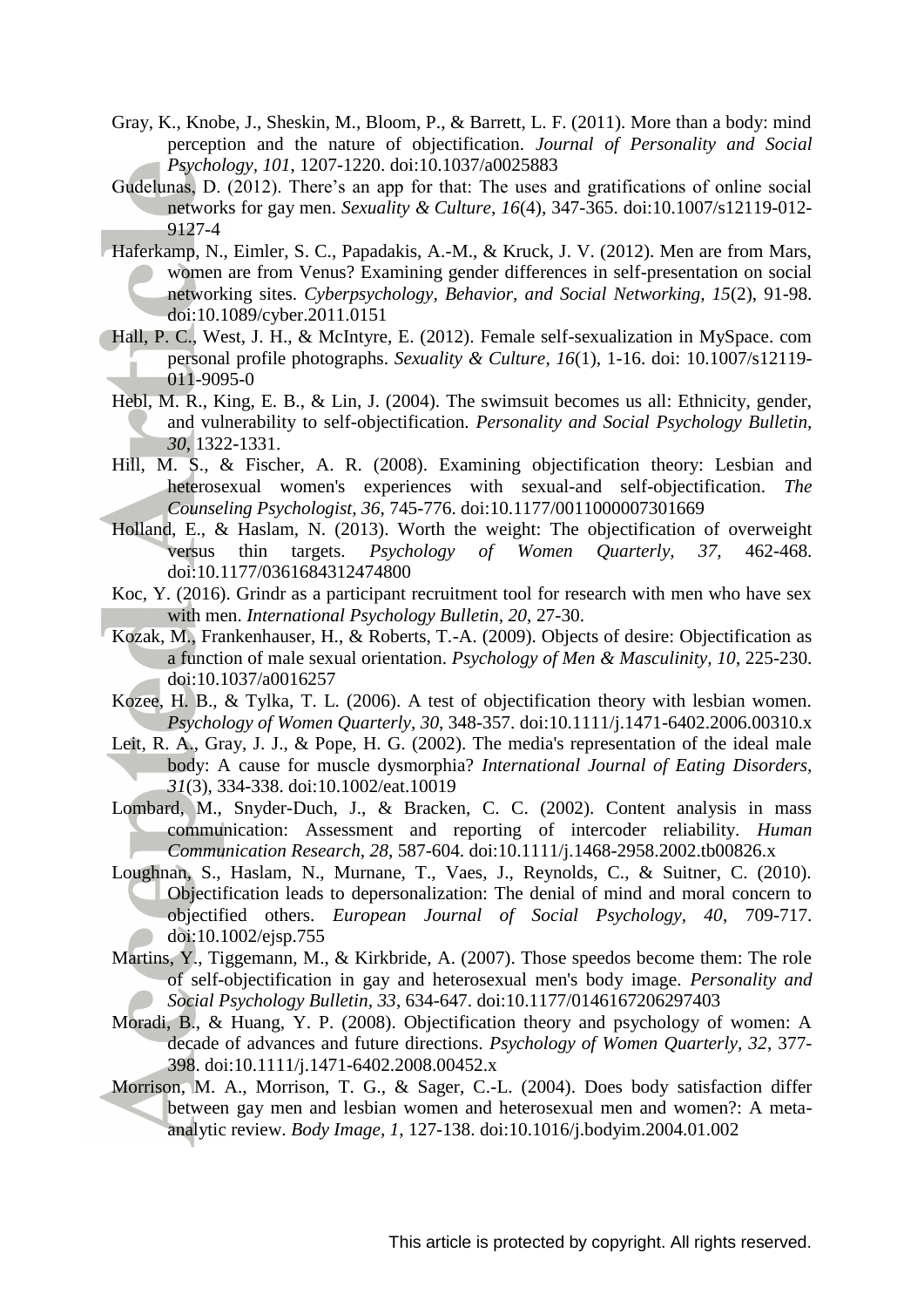- Gray, K., Knobe, J., Sheskin, M., Bloom, P., & Barrett, L. F. (2011). More than a body: mind perception and the nature of objectification. *Journal of Personality and Social Psychology, 101*, 1207-1220. doi:10.1037/a0025883
- Gudelunas, D. (2012). There's an app for that: The uses and gratifications of online social networks for gay men. *Sexuality & Culture, 16*(4), 347-365. doi:10.1007/s12119-012- 9127-4
- Haferkamp, N., Eimler, S. C., Papadakis, A.-M., & Kruck, J. V. (2012). Men are from Mars, women are from Venus? Examining gender differences in self-presentation on social networking sites. *Cyberpsychology, Behavior, and Social Networking, 15*(2), 91-98. doi:10.1089/cyber.2011.0151
- Hall, P. C., West, J. H., & McIntyre, E. (2012). Female self-sexualization in MySpace. com personal profile photographs. *Sexuality & Culture, 16*(1), 1-16. doi: 10.1007/s12119- 011-9095-0
- Hebl, M. R., King, E. B., & Lin, J. (2004). The swimsuit becomes us all: Ethnicity, gender, and vulnerability to self-objectification. *Personality and Social Psychology Bulletin, 30*, 1322-1331.
- Hill, M. S., & Fischer, A. R. (2008). Examining objectification theory: Lesbian and heterosexual women's experiences with sexual-and self-objectification. *The Counseling Psychologist, 36*, 745-776. doi:10.1177/0011000007301669
- Holland, E., & Haslam, N. (2013). Worth the weight: The objectification of overweight versus thin targets. *Psychology of Women Quarterly, 37*, 462-468. doi:10.1177/0361684312474800
- Koc, Y. (2016). Grindr as a participant recruitment tool for research with men who have sex with men. *International Psychology Bulletin, 20*, 27-30.
- Kozak, M., Frankenhauser, H., & Roberts, T.-A. (2009). Objects of desire: Objectification as a function of male sexual orientation. *Psychology of Men & Masculinity, 10*, 225-230. doi:10.1037/a0016257
- Kozee, H. B., & Tylka, T. L. (2006). A test of objectification theory with lesbian women. *Psychology of Women Quarterly, 30*, 348-357. doi:10.1111/j.1471-6402.2006.00310.x
- Leit, R. A., Gray, J. J., & Pope, H. G. (2002). The media's representation of the ideal male body: A cause for muscle dysmorphia? *International Journal of Eating Disorders, 31*(3), 334-338. doi:10.1002/eat.10019
- Lombard, M., Snyder-Duch, J., & Bracken, C. C. (2002). Content analysis in mass communication: Assessment and reporting of intercoder reliability. *Human Communication Research, 28*, 587-604. doi:10.1111/j.1468-2958.2002.tb00826.x
- Loughnan, S., Haslam, N., Murnane, T., Vaes, J., Reynolds, C., & Suitner, C. (2010). Objectification leads to depersonalization: The denial of mind and moral concern to objectified others. *European Journal of Social Psychology, 40*, 709-717. doi:10.1002/ejsp.755
- Martins, Y., Tiggemann, M., & Kirkbride, A. (2007). Those speedos become them: The role of self-objectification in gay and heterosexual men's body image. *Personality and Social Psychology Bulletin, 33*, 634-647. doi:10.1177/0146167206297403
- Moradi, B., & Huang, Y. P. (2008). Objectification theory and psychology of women: A decade of advances and future directions. *Psychology of Women Quarterly, 32*, 377- 398. doi:10.1111/j.1471-6402.2008.00452.x
- Morrison, M. A., Morrison, T. G., & Sager, C.-L. (2004). Does body satisfaction differ between gay men and lesbian women and heterosexual men and women?: A metaanalytic review. *Body Image, 1*, 127-138. doi:10.1016/j.bodyim.2004.01.002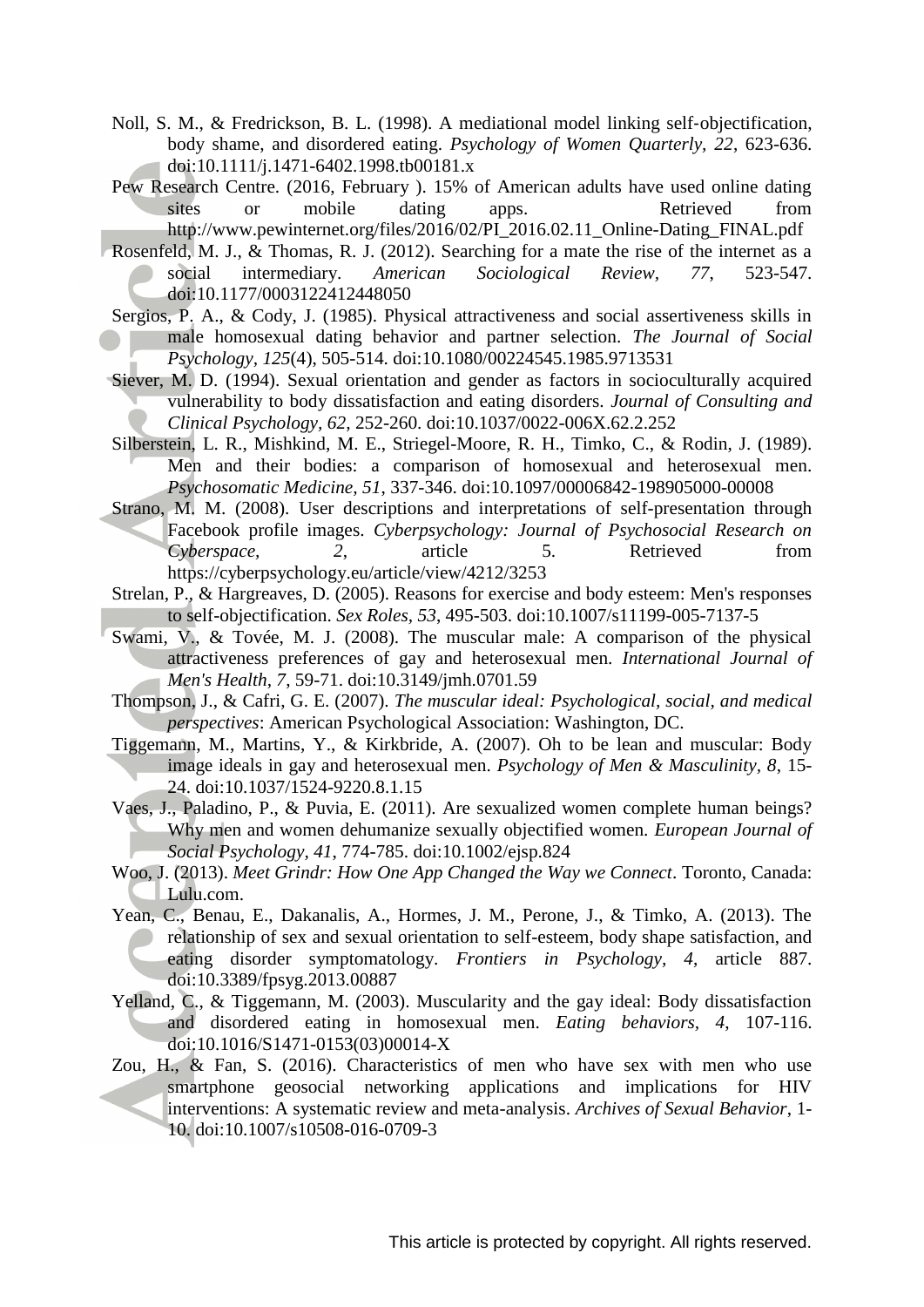- Noll, S. M., & Fredrickson, B. L. (1998). A mediational model linking self‐objectification, body shame, and disordered eating. *Psychology of Women Quarterly, 22*, 623-636. doi:10.1111/j.1471-6402.1998.tb00181.x
- Pew Research Centre. (2016, February ). 15% of American adults have used online dating sites or mobile dating apps. Retrieved from http://www.pewinternet.org/files/2016/02/PI\_2016.02.11\_Online-Dating\_FINAL.pdf
- Rosenfeld, M. J., & Thomas, R. J. (2012). Searching for a mate the rise of the internet as a social intermediary. *American Sociological Review, 77*, 523-547. doi:10.1177/0003122412448050
- Sergios, P. A., & Cody, J. (1985). Physical attractiveness and social assertiveness skills in male homosexual dating behavior and partner selection. *The Journal of Social Psychology, 125*(4), 505-514. doi:10.1080/00224545.1985.9713531
- Siever, M. D. (1994). Sexual orientation and gender as factors in socioculturally acquired vulnerability to body dissatisfaction and eating disorders. *Journal of Consulting and Clinical Psychology, 62*, 252-260. doi:10.1037/0022-006X.62.2.252
- Silberstein, L. R., Mishkind, M. E., Striegel-Moore, R. H., Timko, C., & Rodin, J. (1989). Men and their bodies: a comparison of homosexual and heterosexual men. *Psychosomatic Medicine, 51*, 337-346. doi:10.1097/00006842-198905000-00008
- Strano, M. M. (2008). User descriptions and interpretations of self-presentation through Facebook profile images. *Cyberpsychology: Journal of Psychosocial Research on Cyberspace,* 2, article 5. Retrieved from https://cyberpsychology.eu/article/view/4212/3253
- Strelan, P., & Hargreaves, D. (2005). Reasons for exercise and body esteem: Men's responses to self-objectification. *Sex Roles, 53*, 495-503. doi:10.1007/s11199-005-7137-5
- Swami, V., & Tovée, M. J. (2008). The muscular male: A comparison of the physical attractiveness preferences of gay and heterosexual men. *International Journal of Men's Health, 7*, 59-71. doi:10.3149/jmh.0701.59
- Thompson, J., & Cafri, G. E. (2007). *The muscular ideal: Psychological, social, and medical perspectives*: American Psychological Association: Washington, DC.
- Tiggemann, M., Martins, Y., & Kirkbride, A. (2007). Oh to be lean and muscular: Body image ideals in gay and heterosexual men. *Psychology of Men & Masculinity, 8*, 15- 24. doi:10.1037/1524-9220.8.1.15
- Vaes, J., Paladino, P., & Puvia, E. (2011). Are sexualized women complete human beings? Why men and women dehumanize sexually objectified women. *European Journal of Social Psychology, 41*, 774-785. doi:10.1002/ejsp.824
- Woo, J. (2013). *Meet Grindr: How One App Changed the Way we Connect*. Toronto, Canada: Lulu.com.
- Yean, C., Benau, E., Dakanalis, A., Hormes, J. M., Perone, J., & Timko, A. (2013). The relationship of sex and sexual orientation to self-esteem, body shape satisfaction, and eating disorder symptomatology. *Frontiers in Psychology, 4*, article 887. doi:10.3389/fpsyg.2013.00887
- Yelland, C., & Tiggemann, M. (2003). Muscularity and the gay ideal: Body dissatisfaction and disordered eating in homosexual men. *Eating behaviors, 4*, 107-116. doi:10.1016/S1471-0153(03)00014-X
- Zou, H., & Fan, S. (2016). Characteristics of men who have sex with men who use smartphone geosocial networking applications and implications for HIV interventions: A systematic review and meta-analysis. *Archives of Sexual Behavior*, 1- 10. doi:10.1007/s10508-016-0709-3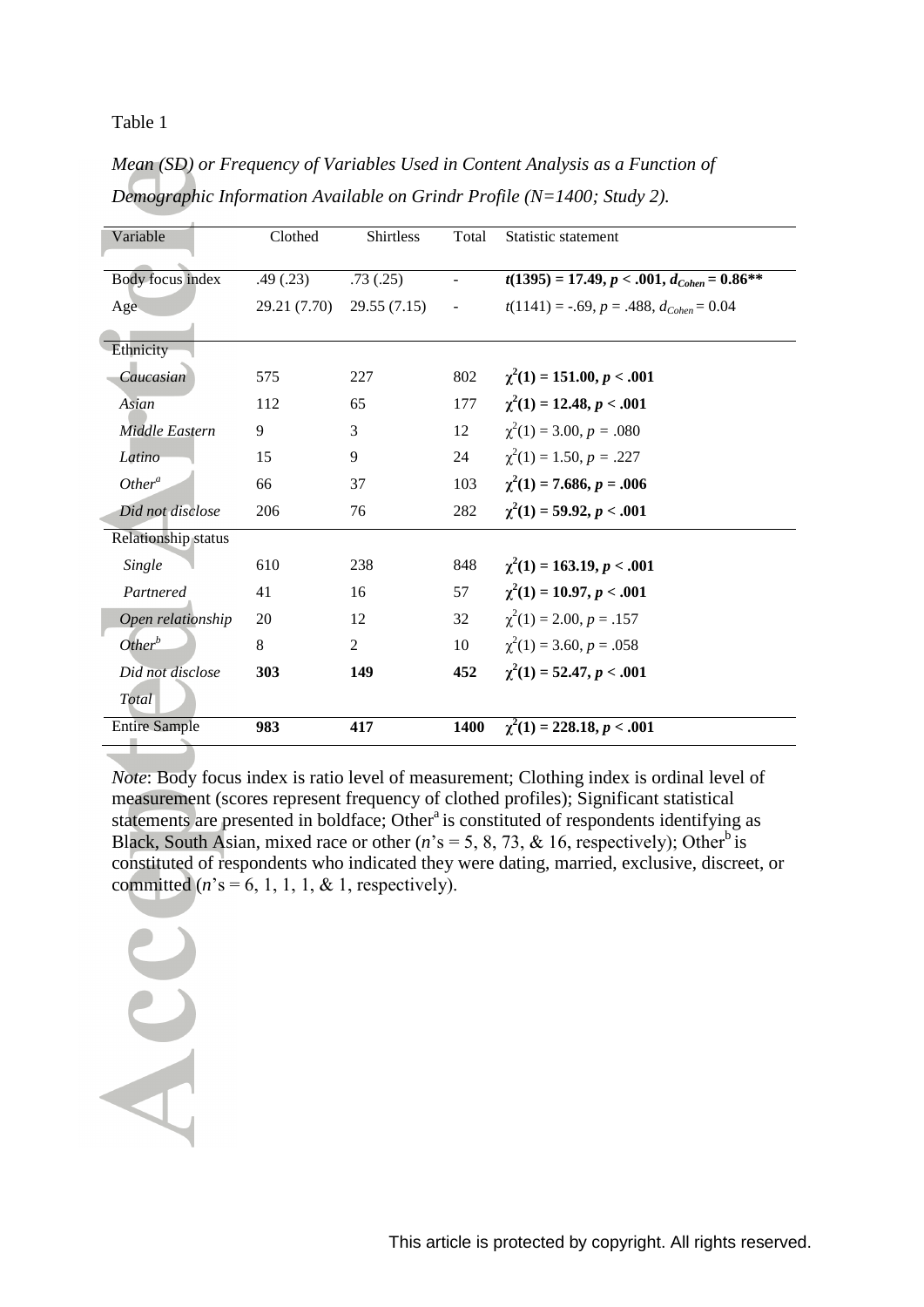### Table 1

| Variable             | Clothed      | <b>Shirtless</b> | Total                    | Statistic statement                             |
|----------------------|--------------|------------------|--------------------------|-------------------------------------------------|
|                      |              |                  |                          |                                                 |
| Body focus index     | .49(.23)     | .73(.25)         |                          | $t(1395) = 17.49, p < .001, d_{Cohen} = 0.86**$ |
| Age                  | 29.21 (7.70) | 29.55(7.15)      | $\overline{\phantom{a}}$ | $t(1141) = -.69, p = .488, d_{Cohen} = 0.04$    |
|                      |              |                  |                          |                                                 |
| Ethnicity            |              |                  |                          |                                                 |
| Caucasian            | 575          | 227              | 802                      | $\chi^2(1) = 151.00, p < .001$                  |
| Asian                | 112          | 65               | 177                      | $\chi^2(1) = 12.48, p < .001$                   |
| Middle Eastern       | 9            | 3                | 12                       | $\chi^2(1) = 3.00, p = .080$                    |
| Latino               | 15           | 9                | 24                       | $\chi^2(1) = 1.50, p = .227$                    |
| Other <sup>a</sup>   | 66           | 37               | 103                      | $\chi^2(1) = 7.686, p = .006$                   |
| Did not disclose     | 206          | 76               | 282                      | $\chi^2(1) = 59.92, p < .001$                   |
| Relationship status  |              |                  |                          |                                                 |
| Single               | 610          | 238              | 848                      | $\chi^2(1) = 163.19, p < .001$                  |
| Partnered            | 41           | 16               | 57                       | $\chi^2(1) = 10.97, p < .001$                   |
| Open relationship    | 20           | 12               | 32                       | $\chi^2(1) = 2.00, p = .157$                    |
| $Other^b$            | 8            | $\overline{c}$   | 10                       | $\chi^2(1) = 3.60, p = .058$                    |
| Did not disclose     | 303          | 149              | 452                      | $\chi^2(1) = 52.47, p < .001$                   |
| Total                |              |                  |                          |                                                 |
| <b>Entire Sample</b> | 983          | 417              | 1400                     | $\chi^2(1) = 228.18, p < .001$                  |

*Mean (SD) or Frequency of Variables Used in Content Analysis as a Function of Demographic Information Available on Grindr Profile (N=1400; Study 2).*

*Note*: Body focus index is ratio level of measurement; Clothing index is ordinal level of measurement (scores represent frequency of clothed profiles); Significant statistical statements are presented in boldface; Other<sup>a</sup> is constituted of respondents identifying as Black, South Asian, mixed race or other  $(n \text{'s} = 5, 8, 73, \& 16,$  respectively); Other<sup>b</sup> is constituted of respondents who indicated they were dating, married, exclusive, discreet, or committed  $(n's = 6, 1, 1, 1, \& 1,$  respectively).

ACC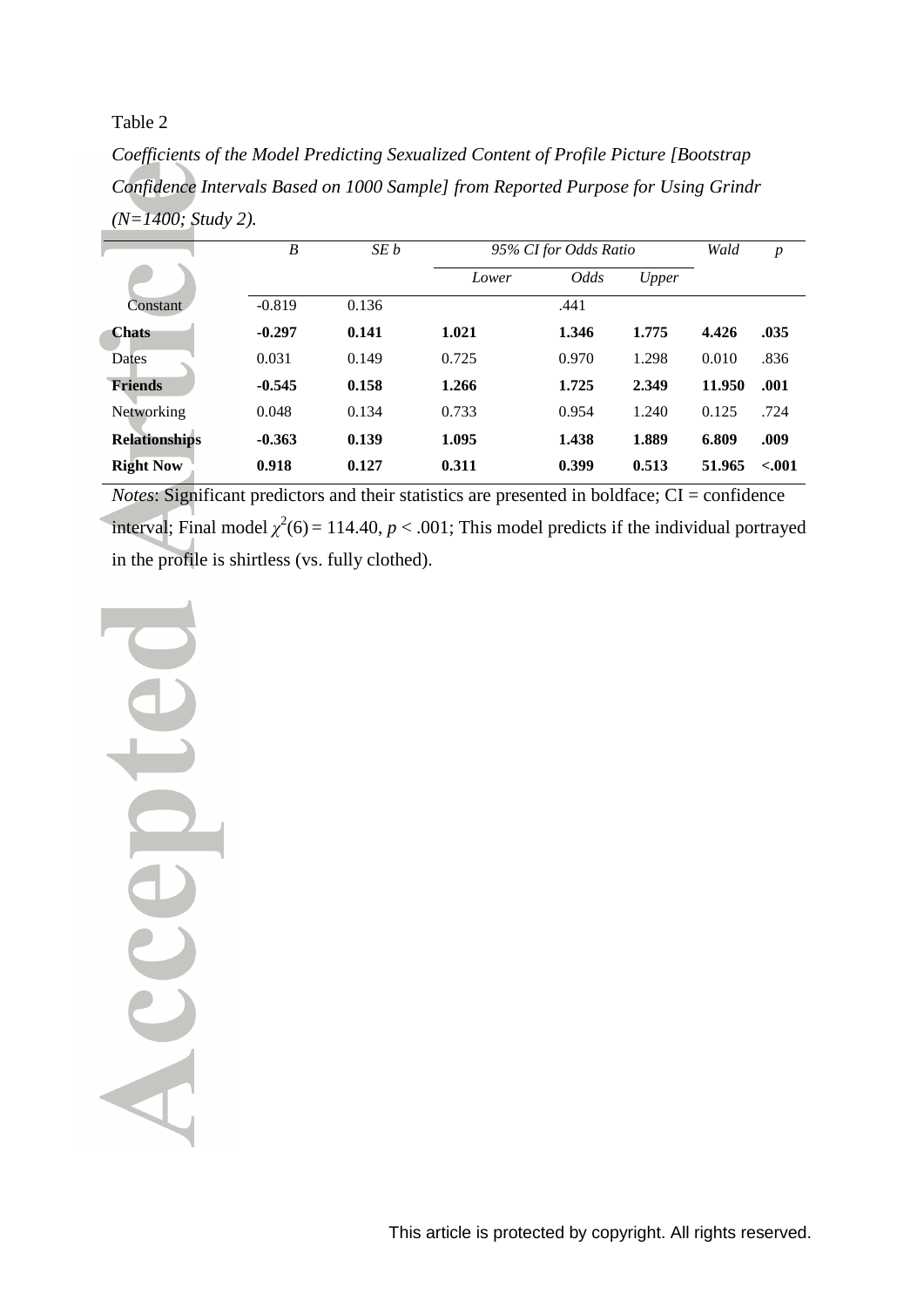Table 2

*Coefficients of the Model Predicting Sexualized Content of Profile Picture [Bootstrap Confidence Intervals Based on 1000 Sample] from Reported Purpose for Using Grindr (N=1400; Study 2).*

|                      | B        | SEb   | 95% CI for Odds Ratio |             |       | Wald   | $\boldsymbol{p}$ |
|----------------------|----------|-------|-----------------------|-------------|-------|--------|------------------|
|                      |          |       | Lower                 | <i>Odds</i> | Upper |        |                  |
| Constant             | $-0.819$ | 0.136 |                       | .441        |       |        |                  |
| <b>Chats</b>         | $-0.297$ | 0.141 | 1.021                 | 1.346       | 1.775 | 4.426  | .035             |
| Dates                | 0.031    | 0.149 | 0.725                 | 0.970       | 1.298 | 0.010  | .836             |
| <b>Friends</b>       | $-0.545$ | 0.158 | 1.266                 | 1.725       | 2.349 | 11.950 | .001             |
| Networking           | 0.048    | 0.134 | 0.733                 | 0.954       | 1.240 | 0.125  | .724             |
| <b>Relationships</b> | $-0.363$ | 0.139 | 1.095                 | 1.438       | 1.889 | 6.809  | .009             |
| <b>Right Now</b>     | 0.918    | 0.127 | 0.311                 | 0.399       | 0.513 | 51.965 | $-.001$          |

*Notes*: Significant predictors and their statistics are presented in boldface; CI = confidence interval; Final model  $\chi^2(6) = 114.40$ ,  $p < .001$ ; This model predicts if the individual portrayed in the profile is shirtless (vs. fully clothed).

Accepte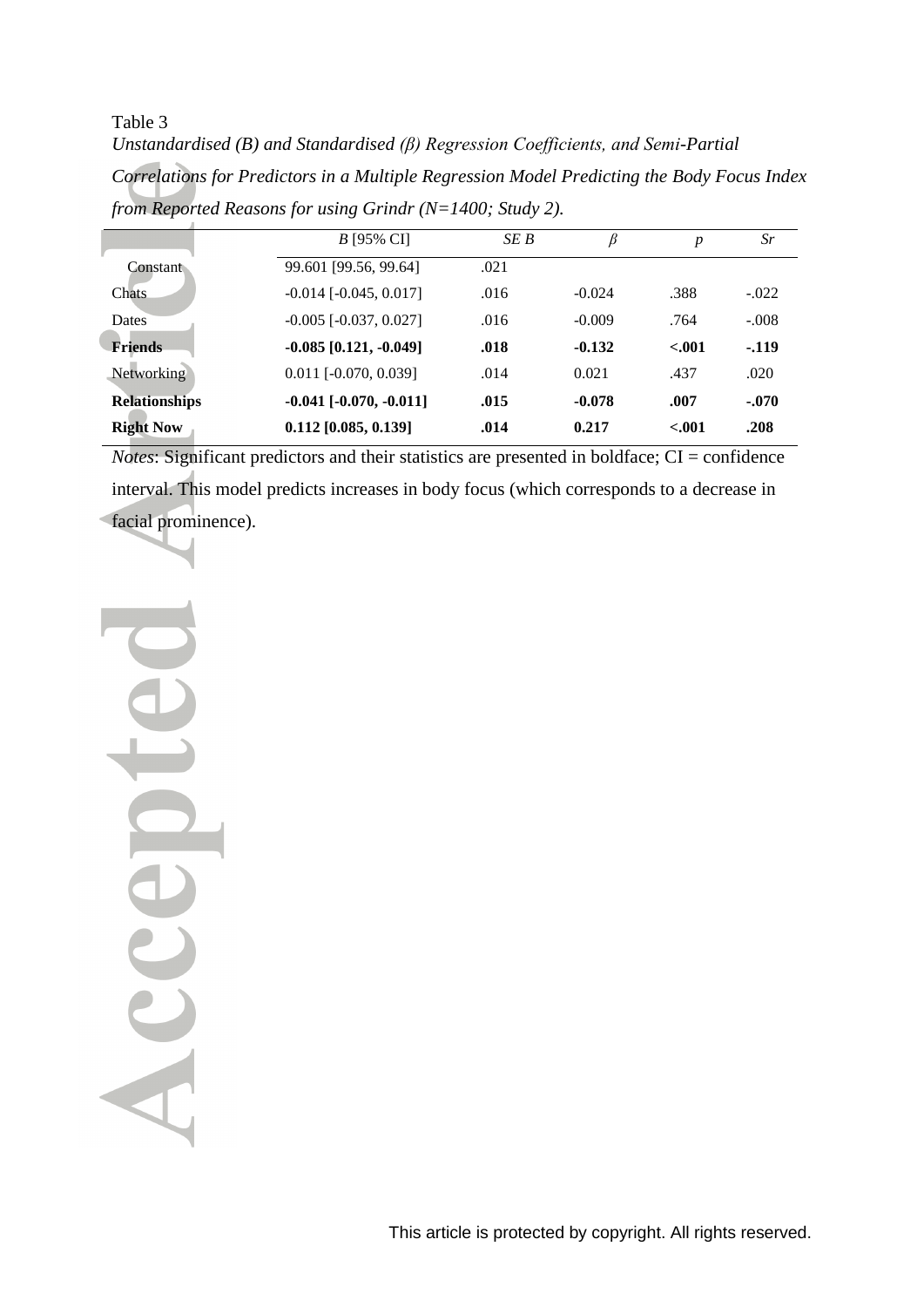Table 3

*Unstandardised (B) and Standardised (β) Regression Coefficients, and Semi-Partial Correlations for Predictors in a Multiple Regression Model Predicting the Body Focus Index from Reported Reasons for using Grindr (N=1400; Study 2).*

|                      | <i>B</i> [95% CI]               | SE B |          | $\boldsymbol{p}$ | Sr      |
|----------------------|---------------------------------|------|----------|------------------|---------|
| Constant             | 99.601 [99.56, 99.64]           | .021 |          |                  |         |
| <b>Chats</b>         | $-0.014$ [ $-0.045$ , $0.017$ ] | .016 | $-0.024$ | .388             | $-.022$ |
| Dates                | $-0.005$ [ $-0.037, 0.027$ ]    | .016 | $-0.009$ | .764             | $-.008$ |
| <b>Friends</b>       | $-0.085$ [0.121, $-0.049$ ]     | .018 | $-0.132$ | $-.001$          | $-119$  |
| Networking           | $0.011$ [-0.070, 0.039]         | .014 | 0.021    | .437             | .020    |
| <b>Relationships</b> | $-0.041$ [ $-0.070, -0.011$ ]   | .015 | $-0.078$ | .007             | $-.070$ |
| <b>Right Now</b>     | $0.112$ [0.085, 0.139]          | .014 | 0.217    | $-.001$          | .208    |

*Notes*: Significant predictors and their statistics are presented in boldface; CI = confidence interval. This model predicts increases in body focus (which corresponds to a decrease in facial prominence).

Accepte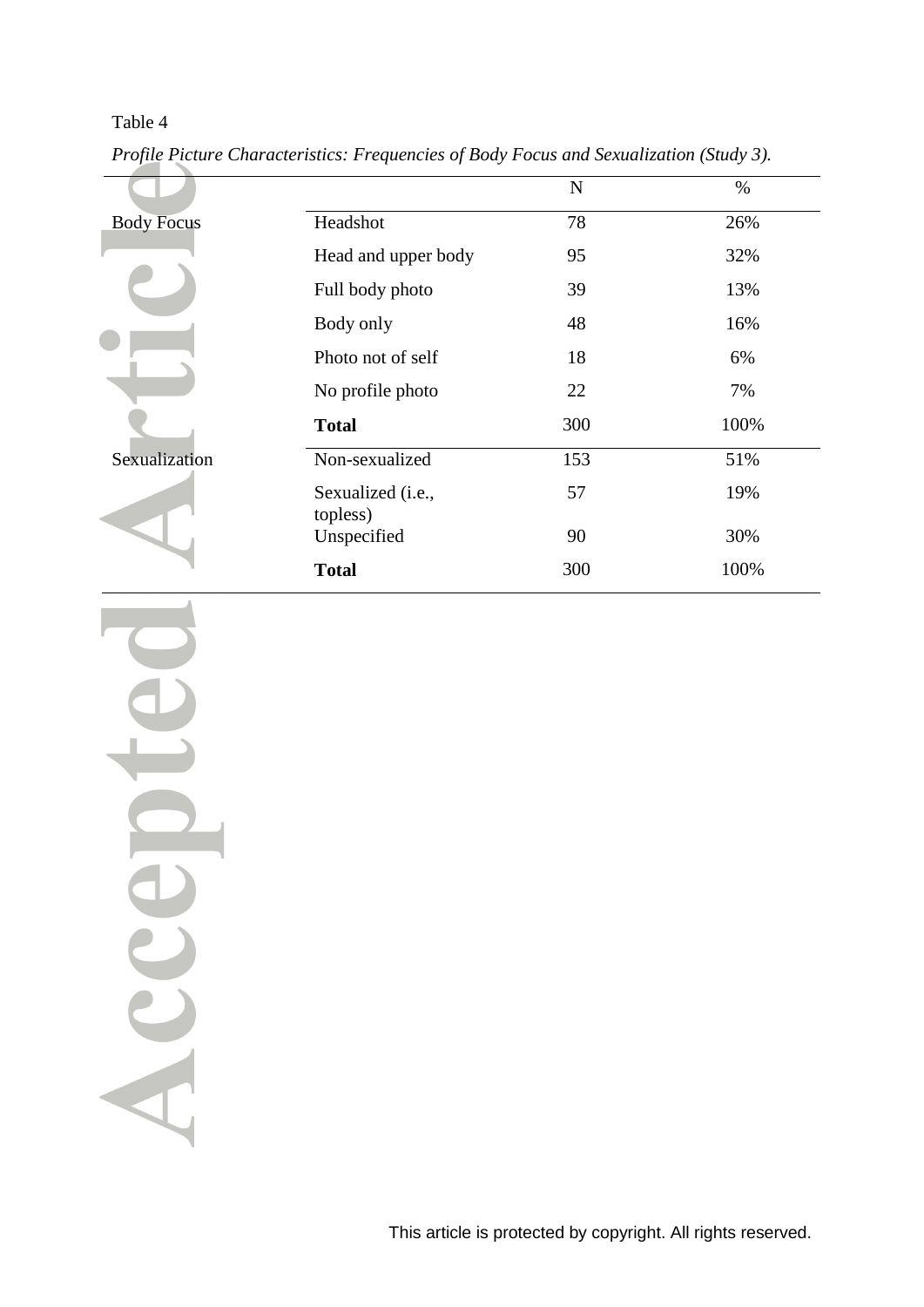### Table 4

|                   |                               | $\mathbf N$ | $\%$ |  |  |
|-------------------|-------------------------------|-------------|------|--|--|
| <b>Body Focus</b> | Headshot                      | 78          | 26%  |  |  |
|                   | Head and upper body           | 95          | 32%  |  |  |
|                   | Full body photo               | 39          | 13%  |  |  |
|                   | Body only                     | 48          | 16%  |  |  |
|                   | Photo not of self             | 18          | 6%   |  |  |
|                   | No profile photo              | 22          | 7%   |  |  |
|                   | <b>Total</b>                  | 300         | 100% |  |  |
| Sexualization     | Non-sexualized                | 153         | 51%  |  |  |
|                   | Sexualized (i.e.,<br>topless) | 57          | 19%  |  |  |
|                   | Unspecified                   | 90          | 30%  |  |  |
|                   | <b>Total</b>                  | 300         | 100% |  |  |
|                   |                               |             |      |  |  |

*Profile Picture Characteristics: Frequencies of Body Focus and Sexualization (Study 3).*

Accepted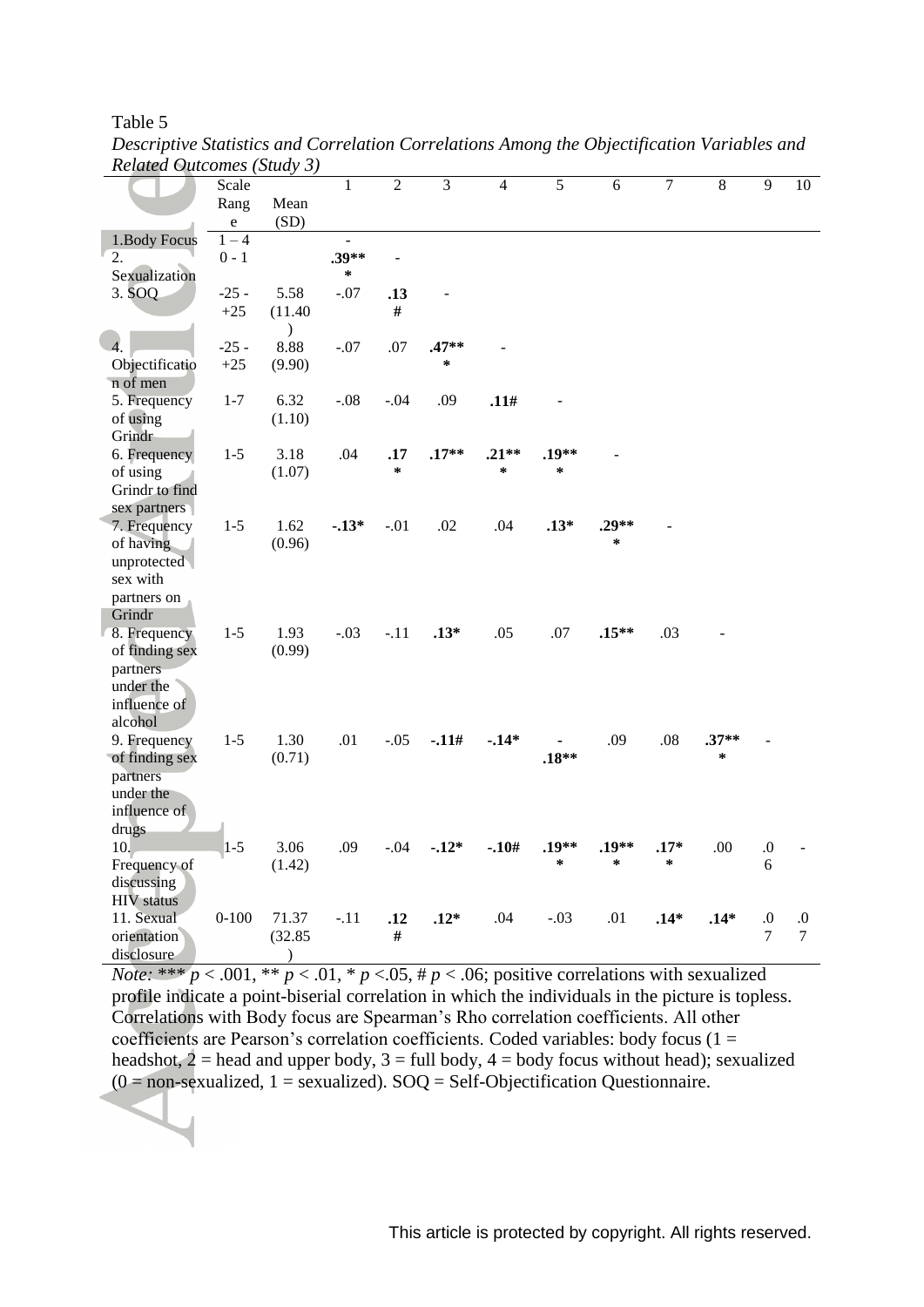### Table 5

|                          | Scale                             |               | $\mathbf{1}$             | $\overline{2}$           | 3            | 4       | 5       | 6       | $\tau$ | 8       | 9      | 10               |
|--------------------------|-----------------------------------|---------------|--------------------------|--------------------------|--------------|---------|---------|---------|--------|---------|--------|------------------|
|                          | Rang                              | Mean          |                          |                          |              |         |         |         |        |         |        |                  |
|                          | $\mathbf{e}% _{t}\left( t\right)$ | (SD)          |                          |                          |              |         |         |         |        |         |        |                  |
| 1. Body Focus            | $1 - 4$                           |               | $\overline{\phantom{0}}$ |                          |              |         |         |         |        |         |        |                  |
| 2.                       | $0 - 1$                           |               | $.39**$                  | $\overline{\phantom{a}}$ |              |         |         |         |        |         |        |                  |
| Sexualization            |                                   |               | $\ast$                   |                          |              |         |         |         |        |         |        |                  |
| 3. SOQ                   | $-25 -$                           | 5.58          | $-.07$                   | .13                      |              |         |         |         |        |         |        |                  |
|                          | $+25$                             | (11.40)       |                          | #                        |              |         |         |         |        |         |        |                  |
|                          |                                   | $\mathcal{L}$ |                          |                          |              |         |         |         |        |         |        |                  |
| $\overline{4}$ .         | $-25 -$                           | 8.88          | $-.07$                   | .07                      | $.47**$<br>∗ |         |         |         |        |         |        |                  |
| Objectificatio           | $+25$                             | (9.90)        |                          |                          |              |         |         |         |        |         |        |                  |
| n of men<br>5. Frequency | $1 - 7$                           | 6.32          | $-.08$                   | $-.04$                   | .09          | .11#    |         |         |        |         |        |                  |
| of using                 |                                   | (1.10)        |                          |                          |              |         |         |         |        |         |        |                  |
| Grindr                   |                                   |               |                          |                          |              |         |         |         |        |         |        |                  |
| 6. Frequency             | $1 - 5$                           | 3.18          | .04                      | .17                      | $.17**$      | $.21**$ | .19**   |         |        |         |        |                  |
| of using                 |                                   | (1.07)        |                          | $\ast$                   |              | $\ast$  | $\ast$  |         |        |         |        |                  |
| Grindr to find           |                                   |               |                          |                          |              |         |         |         |        |         |        |                  |
| sex partners             |                                   |               |                          |                          |              |         |         |         |        |         |        |                  |
| 7. Frequency             | $1 - 5$                           | 1.62          | $-.13*$                  | $-.01$                   | .02          | .04     | $.13*$  | $.29**$ |        |         |        |                  |
| of having                |                                   | (0.96)        |                          |                          |              |         |         | ∗       |        |         |        |                  |
| unprotected              |                                   |               |                          |                          |              |         |         |         |        |         |        |                  |
| sex with                 |                                   |               |                          |                          |              |         |         |         |        |         |        |                  |
| partners on              |                                   |               |                          |                          |              |         |         |         |        |         |        |                  |
| Grindr                   |                                   |               |                          |                          |              |         |         |         |        |         |        |                  |
| 8. Frequency             | $1 - 5$                           | 1.93          | $-.03$                   | $-.11$                   | $.13*$       | .05     | $.07$   | $.15**$ | .03    |         |        |                  |
| of finding sex           |                                   | (0.99)        |                          |                          |              |         |         |         |        |         |        |                  |
| partners<br>under the    |                                   |               |                          |                          |              |         |         |         |        |         |        |                  |
| influence of             |                                   |               |                          |                          |              |         |         |         |        |         |        |                  |
| alcohol                  |                                   |               |                          |                          |              |         |         |         |        |         |        |                  |
| 9. Frequency             | $1 - 5$                           | 1.30          | .01                      | $-.05$                   | $-.11#$      | $-14*$  |         | .09     | .08    | $.37**$ |        |                  |
| of finding sex           |                                   | (0.71)        |                          |                          |              |         | $.18**$ |         |        | $\ast$  |        |                  |
| partners                 |                                   |               |                          |                          |              |         |         |         |        |         |        |                  |
| under the                |                                   |               |                          |                          |              |         |         |         |        |         |        |                  |
| influence of             |                                   |               |                          |                          |              |         |         |         |        |         |        |                  |
| drugs                    |                                   |               |                          |                          |              |         |         |         |        |         |        |                  |
| 10.                      | $1 - 5$                           | 3.06          | .09                      | $-.04$                   | $-.12*$      | $-.10#$ | $.19**$ | $.19**$ | $.17*$ | .00.    | $.0\,$ |                  |
| Frequency of             |                                   | (1.42)        |                          |                          |              |         | $\ast$  | ∗       | $\ast$ |         | 6      |                  |
| discussing               |                                   |               |                          |                          |              |         |         |         |        |         |        |                  |
| <b>HIV</b> status        |                                   |               |                          |                          |              |         |         |         |        |         |        |                  |
| 11. Sexual               | $0 - 100$                         | 71.37         | $-.11$                   | .12                      | $.12*$       | .04     | $-.03$  | .01     | $.14*$ | $.14*$  | $.0\,$ | $\boldsymbol{0}$ |
| orientation              |                                   | (32.85)       |                          | #                        |              |         |         |         |        |         | $\tau$ | $\overline{7}$   |
| disclosure               |                                   | $\mathcal{E}$ |                          |                          |              |         |         |         |        |         |        |                  |

*Descriptive Statistics and Correlation Correlations Among the Objectification Variables and Related Outcomes (Study 3)* 

*Note:* \*\*\*  $p < .001$ , \*\*  $p < .01$ , \*  $p < .05$ , #  $p < .06$ ; positive correlations with sexualized profile indicate a point-biserial correlation in which the individuals in the picture is topless. Correlations with Body focus are Spearman's Rho correlation coefficients. All other coefficients are Pearson's correlation coefficients. Coded variables: body focus (1 = headshot,  $2 =$  head and upper body,  $3 =$  full body,  $4 =$  body focus without head); sexualized  $(0 = non-sexualized, 1 = sexualized). SOQ = Self-Objectification Questionnaire.$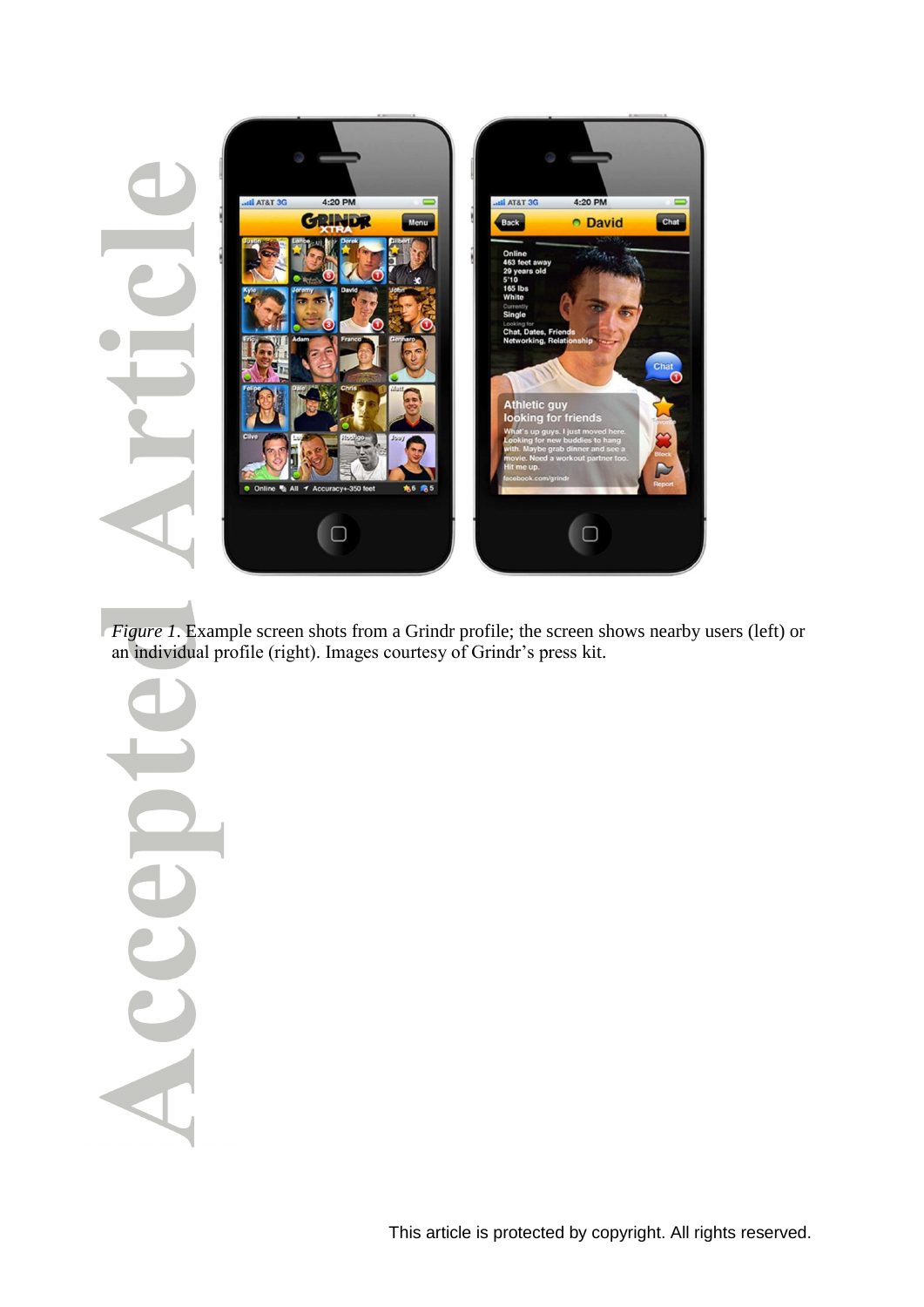

*Figure 1*. Example screen shots from a Grindr profile; the screen shows nearby users (left) or an individual profile (right). Images courtesy of Grindr's press kit.

ACC